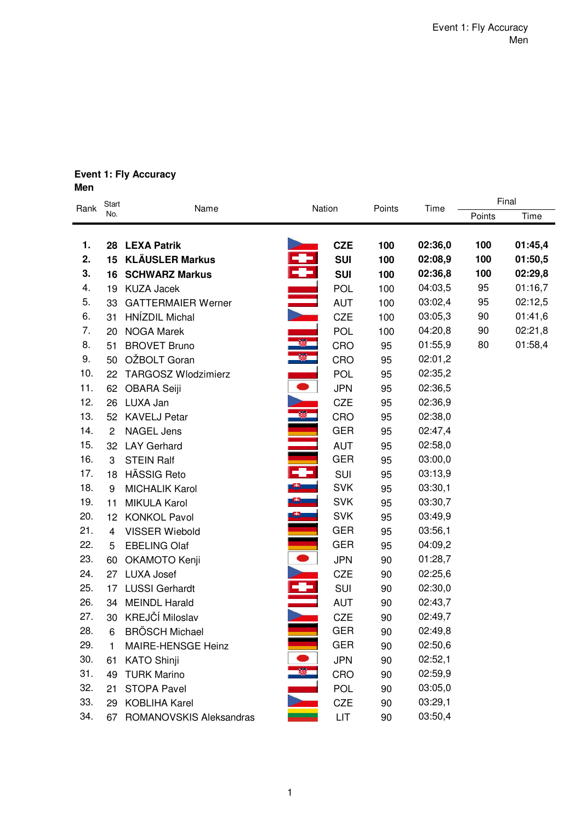### **Event 1: Fly Accuracy Men**

| Rank | Start                   | Name                       |                          | Nation     | Points | Time    | Final  |         |  |
|------|-------------------------|----------------------------|--------------------------|------------|--------|---------|--------|---------|--|
|      | No.                     |                            |                          |            |        |         | Points | Time    |  |
| 1.   |                         | 28 LEXA Patrik             |                          | <b>CZE</b> | 100    | 02:36,0 | 100    | 01:45,4 |  |
| 2.   |                         | 15 KLÄUSLER Markus         |                          | <b>SUI</b> | 100    | 02:08,9 | 100    | 01:50,5 |  |
| 3.   |                         | <b>16 SCHWARZ Markus</b>   | <b>September</b>         | <b>SUI</b> | 100    | 02:36,8 | 100    | 02:29,8 |  |
| 4.   | 19                      | <b>KUZA Jacek</b>          |                          | <b>POL</b> | 100    | 04:03,5 | 95     | 01:16,7 |  |
| 5.   | 33                      | <b>GATTERMAIER Werner</b>  |                          | <b>AUT</b> | 100    | 03:02,4 | 95     | 02:12,5 |  |
| 6.   | 31                      | HNÍZDIL Michal             |                          | <b>CZE</b> | 100    | 03:05,3 | 90     | 01:41,6 |  |
| 7.   | 20                      | <b>NOGA Marek</b>          |                          | POL        | 100    | 04:20,8 | 90     | 02:21,8 |  |
| 8.   | 51                      | <b>BROVET Bruno</b>        | - 31<br>- 32             | CRO        | 95     | 01:55,9 | 80     | 01:58,4 |  |
| 9.   | 50                      | OŽBOLT Goran               |                          | CRO        | 95     | 02:01,2 |        |         |  |
| 10.  | 22                      | <b>TARGOSZ Wlodzimierz</b> |                          | POL        | 95     | 02:35,2 |        |         |  |
| 11.  | 62                      | <b>OBARA Seiji</b>         | $\bullet$                | <b>JPN</b> | 95     | 02:36,5 |        |         |  |
| 12.  | 26                      | LUXA Jan                   |                          | <b>CZE</b> | 95     | 02:36,9 |        |         |  |
| 13.  |                         | 52 KAVELJ Petar            |                          | CRO        | 95     | 02:38,0 |        |         |  |
| 14.  | $\overline{c}$          | <b>NAGEL Jens</b>          | $\overline{\phantom{0}}$ | <b>GER</b> | 95     | 02:47,4 |        |         |  |
| 15.  | 32                      | <b>LAY Gerhard</b>         |                          | <b>AUT</b> | 95     | 02:58,0 |        |         |  |
| 16.  | 3                       | <b>STEIN Ralf</b>          |                          | <b>GER</b> | 95     | 03:00,0 |        |         |  |
| 17.  | 18                      | <b>HÄSSIG Reto</b>         |                          | SUI        | 95     | 03:13,9 |        |         |  |
| 18.  | 9                       | <b>MICHALIK Karol</b>      | $\bullet$                | <b>SVK</b> | 95     | 03:30,1 |        |         |  |
| 19.  | 11                      | <b>MIKULA Karol</b>        |                          | <b>SVK</b> | 95     | 03:30,7 |        |         |  |
| 20.  | 12 <sup>2</sup>         | <b>KONKOL Pavol</b>        |                          | <b>SVK</b> | 95     | 03:49,9 |        |         |  |
| 21.  | $\overline{\mathbf{4}}$ | <b>VISSER Wiebold</b>      |                          | <b>GER</b> | 95     | 03:56,1 |        |         |  |
| 22.  | 5                       | <b>EBELING Olaf</b>        |                          | <b>GER</b> | 95     | 04:09,2 |        |         |  |
| 23.  | 60                      | OKAMOTO Kenji              | $\bullet$                | <b>JPN</b> | 90     | 01:28,7 |        |         |  |
| 24.  | 27                      | <b>LUXA Josef</b>          |                          | <b>CZE</b> | 90     | 02:25,6 |        |         |  |
| 25.  | 17                      | <b>LUSSI Gerhardt</b>      | ē                        | SUI        | 90     | 02:30,0 |        |         |  |
| 26.  | 34                      | <b>MEINDL Harald</b>       |                          | <b>AUT</b> | 90     | 02:43,7 |        |         |  |
| 27.  | 30                      | KREJČÍ Miloslav            |                          | <b>CZE</b> | 90     | 02:49,7 |        |         |  |
| 28.  | 6                       | <b>BRÖSCH Michael</b>      |                          | <b>GER</b> | 90     | 02:49,8 |        |         |  |
| 29.  | 1                       | MAIRE-HENSGE Heinz         |                          | <b>GER</b> | 90     | 02:50,6 |        |         |  |
| 30.  | 61                      | <b>KATO Shinji</b>         |                          | <b>JPN</b> | 90     | 02:52,1 |        |         |  |
| 31.  | 49                      | <b>TURK Marino</b>         |                          | CRO        | 90     | 02:59,9 |        |         |  |
| 32.  | 21                      | <b>STOPA Pavel</b>         |                          | POL        | 90     | 03:05,0 |        |         |  |
| 33.  | 29                      | <b>KOBLIHA Karel</b>       |                          | CZE        | 90     | 03:29,1 |        |         |  |
| 34.  | 67                      | ROMANOVSKIS Aleksandras    |                          | LIT        | 90     | 03:50,4 |        |         |  |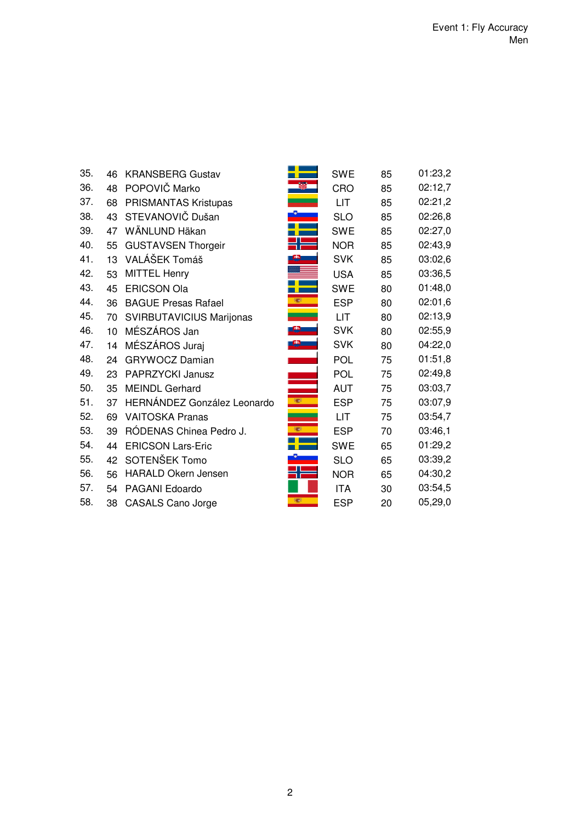| 35. | 46 | <b>KRANSBERG Gustav</b>     |      | <b>SWE</b> | 85 | 01:23,2 |
|-----|----|-----------------------------|------|------------|----|---------|
| 36. | 48 | POPOVIČ Marko               |      | <b>CRO</b> | 85 | 02:12,7 |
| 37. | 68 | PRISMANTAS Kristupas        |      | LIT        | 85 | 02:21,2 |
| 38. | 43 | STEVANOVIČ Dušan            |      | <b>SLO</b> | 85 | 02:26,8 |
| 39. | 47 | WÄNLUND Häkan               |      | <b>SWE</b> | 85 | 02:27,0 |
| 40. | 55 | <b>GUSTAVSEN Thorgeir</b>   |      | <b>NOR</b> | 85 | 02:43,9 |
| 41. | 13 | VALÁŠEK Tomáš               |      | <b>SVK</b> | 85 | 03:02,6 |
| 42. | 53 | <b>MITTEL Henry</b>         |      | <b>USA</b> | 85 | 03:36,5 |
| 43. | 45 | <b>ERICSON Ola</b>          |      | <b>SWE</b> | 80 | 01:48,0 |
| 44. | 36 | <b>BAGUE Presas Rafael</b>  | 覆    | <b>ESP</b> | 80 | 02:01,6 |
| 45. | 70 | SVIRBUTAVICIUS Marijonas    |      | <b>LIT</b> | 80 | 02:13,9 |
| 46. | 10 | MÉSZÁROS Jan                |      | <b>SVK</b> | 80 | 02:55,9 |
| 47. | 14 | MÉSZÁROS Juraj              |      | <b>SVK</b> | 80 | 04:22,0 |
| 48. | 24 | <b>GRYWOCZ Damian</b>       |      | <b>POL</b> | 75 | 01:51,8 |
| 49. | 23 | PAPRZYCKI Janusz            |      | <b>POL</b> | 75 | 02:49,8 |
| 50. | 35 | <b>MEINDL Gerhard</b>       |      | <b>AUT</b> | 75 | 03:03,7 |
| 51. | 37 | HERNÁNDEZ González Leonardo | 1927 | <b>ESP</b> | 75 | 03:07,9 |
| 52. | 69 | <b>VAITOSKA Pranas</b>      |      | <b>LIT</b> | 75 | 03:54,7 |
| 53. | 39 | RÓDENAS Chinea Pedro J.     | 1927 | <b>ESP</b> | 70 | 03:46,1 |
| 54. | 44 | <b>ERICSON Lars-Eric</b>    |      | <b>SWE</b> | 65 | 01:29,2 |
| 55. | 42 | SOTENŠEK Tomo               |      | <b>SLO</b> | 65 | 03:39,2 |
| 56. | 56 | <b>HARALD Okern Jensen</b>  |      | <b>NOR</b> | 65 | 04:30,2 |
| 57. | 54 | PAGANI Edoardo              |      | <b>ITA</b> | 30 | 03:54,5 |
| 58. | 38 | <b>CASALS Cano Jorge</b>    | 編    | <b>ESP</b> | 20 | 05,29,0 |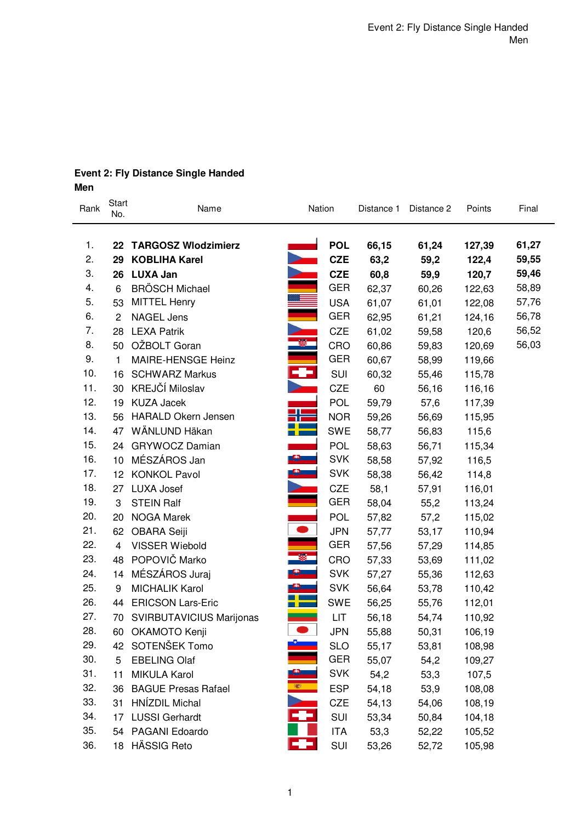# **Event 2: Fly Distance Single Handed Men**

| Rank | Start<br>No. | Name                       | Nation   |            | Distance 1 | Distance 2 | Points | Final |  |
|------|--------------|----------------------------|----------|------------|------------|------------|--------|-------|--|
|      |              |                            |          |            |            |            |        |       |  |
| 1.   |              | 22 TARGOSZ Wlodzimierz     |          | <b>POL</b> | 66,15      | 61,24      | 127,39 | 61,27 |  |
| 2.   | 29           | <b>KOBLIHA Karel</b>       |          | <b>CZE</b> | 63,2       | 59,2       | 122,4  | 59,55 |  |
| 3.   | 26           | <b>LUXA Jan</b>            |          | <b>CZE</b> | 60,8       | 59,9       | 120,7  | 59,46 |  |
| 4.   | 6            | <b>BRÖSCH Michael</b>      |          | <b>GER</b> | 62,37      | 60,26      | 122,63 | 58,89 |  |
| 5.   | 53           | <b>MITTEL Henry</b>        |          | <b>USA</b> | 61,07      | 61,01      | 122,08 | 57,76 |  |
| 6.   | $\mathbf{2}$ | <b>NAGEL Jens</b>          |          | <b>GER</b> | 62,95      | 61,21      | 124,16 | 56,78 |  |
| 7.   | 28           | <b>LEXA Patrik</b>         |          | <b>CZE</b> | 61,02      | 59,58      | 120,6  | 56,52 |  |
| 8.   | 50           | OŽBOLT Goran               |          | CRO        | 60,86      | 59,83      | 120,69 | 56,03 |  |
| 9.   | 1            | MAIRE-HENSGE Heinz         |          | <b>GER</b> | 60,67      | 58,99      | 119,66 |       |  |
| 10.  | 16           | <b>SCHWARZ Markus</b>      | ł        | SUI        | 60,32      | 55,46      | 115,78 |       |  |
| 11.  | 30           | KREJČÍ Miloslav            |          | <b>CZE</b> | 60         | 56,16      | 116,16 |       |  |
| 12.  | 19           | <b>KUZA Jacek</b>          |          | <b>POL</b> | 59,79      | 57,6       | 117,39 |       |  |
| 13.  | 56           | <b>HARALD Okern Jensen</b> |          | <b>NOR</b> | 59,26      | 56,69      | 115,95 |       |  |
| 14.  | 47           | WÄNLUND Häkan              |          | SWE        | 58,77      | 56,83      | 115,6  |       |  |
| 15.  |              | 24 GRYWOCZ Damian          |          | <b>POL</b> | 58,63      | 56,71      | 115,34 |       |  |
| 16.  | 10           | MÉSZÁROS Jan               |          | <b>SVK</b> | 58,58      | 57,92      | 116,5  |       |  |
| 17.  |              | 12 KONKOL Pavol            |          | <b>SVK</b> | 58,38      | 56,42      | 114,8  |       |  |
| 18.  |              | 27 LUXA Josef              |          | <b>CZE</b> | 58,1       | 57,91      | 116,01 |       |  |
| 19.  | 3            | <b>STEIN Ralf</b>          |          | <b>GER</b> | 58,04      | 55,2       | 113,24 |       |  |
| 20.  | 20           | <b>NOGA Marek</b>          |          | <b>POL</b> | 57,82      | 57,2       | 115,02 |       |  |
| 21.  | 62           | OBARA Seiji                |          | <b>JPN</b> | 57,77      | 53,17      | 110,94 |       |  |
| 22.  | 4            | <b>VISSER Wiebold</b>      |          | <b>GER</b> | 57,56      | 57,29      | 114,85 |       |  |
| 23.  | 48           | POPOVIČ Marko              | 攀        | CRO        | 57,33      | 53,69      | 111,02 |       |  |
| 24.  | 14           | MÉSZÁROS Juraj             | <b>中</b> | <b>SVK</b> | 57,27      | 55,36      | 112,63 |       |  |
| 25.  | 9            | <b>MICHALIK Karol</b>      |          | <b>SVK</b> | 56,64      | 53,78      | 110,42 |       |  |
| 26.  | 44           | <b>ERICSON Lars-Eric</b>   |          | <b>SWE</b> | 56,25      | 55,76      | 112,01 |       |  |
| 27.  | 70           | SVIRBUTAVICIUS Marijonas   |          | LIT        | 56,18      | 54,74      | 110,92 |       |  |
| 28.  | 60           | OKAMOTO Kenji              |          | <b>JPN</b> | 55,88      | 50,31      | 106,19 |       |  |
| 29.  | 42           | SOTENŠEK Tomo              |          | <b>SLO</b> | 55,17      | 53,81      | 108,98 |       |  |
| 30.  | 5            | <b>EBELING Olaf</b>        |          | <b>GER</b> | 55,07      | 54,2       | 109,27 |       |  |
| 31.  | 11           | <b>MIKULA Karol</b>        |          | <b>SVK</b> | 54,2       | 53,3       | 107,5  |       |  |
| 32.  | 36           | <b>BAGUE Presas Rafael</b> |          | <b>ESP</b> | 54,18      | 53,9       | 108,08 |       |  |
| 33.  | 31           | HNÍZDIL Michal             |          | CZE        | 54,13      | 54,06      | 108,19 |       |  |
| 34.  | 17           | <b>LUSSI Gerhardt</b>      |          | SUI        | 53,34      | 50,84      | 104,18 |       |  |
| 35.  |              | 54 PAGANI Edoardo          |          | <b>ITA</b> | 53,3       | 52,22      | 105,52 |       |  |
| 36.  | 18           | HÄSSIG Reto                | - -      | SUI        | 53,26      | 52,72      | 105,98 |       |  |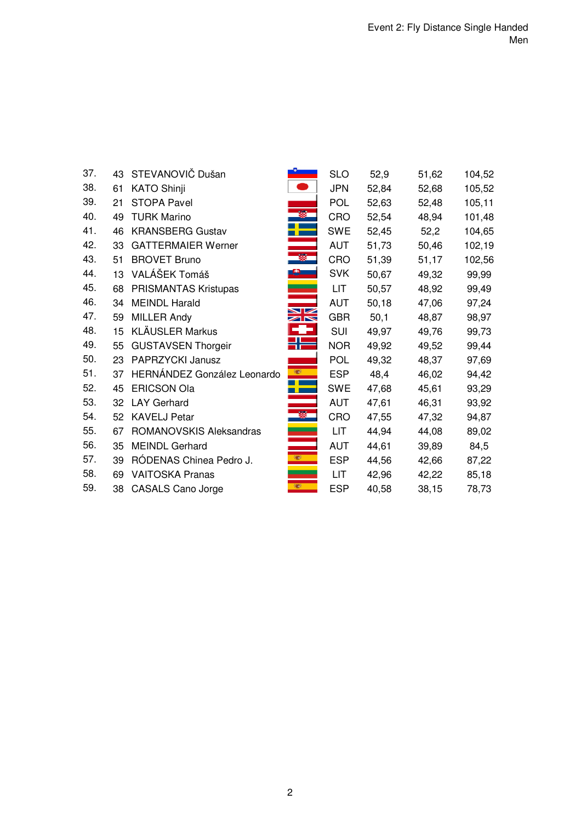| 37. | 43 | STEVANOVIČ Dušan            |                | <b>SLO</b> | 52,9  | 51,62 | 104,52 |
|-----|----|-----------------------------|----------------|------------|-------|-------|--------|
| 38. | 61 | <b>KATO Shinji</b>          |                | <b>JPN</b> | 52,84 | 52,68 | 105,52 |
| 39. | 21 | <b>STOPA Pavel</b>          |                | <b>POL</b> | 52,63 | 52,48 | 105,11 |
| 40. | 49 | <b>TURK Marino</b>          |                | CRO        | 52,54 | 48,94 | 101,48 |
| 41. | 46 | <b>KRANSBERG Gustav</b>     |                | <b>SWE</b> | 52,45 | 52,2  | 104,65 |
| 42. | 33 | <b>GATTERMAIER Werner</b>   |                | <b>AUT</b> | 51,73 | 50,46 | 102,19 |
| 43. | 51 | <b>BROVET Bruno</b>         |                | CRO        | 51,39 | 51,17 | 102,56 |
| 44. | 13 | VALÁŠEK Tomáš               |                | <b>SVK</b> | 50,67 | 49,32 | 99,99  |
| 45. | 68 | PRISMANTAS Kristupas        |                | LIT.       | 50,57 | 48,92 | 99,49  |
| 46. | 34 | <b>MEINDL Harald</b>        |                | <b>AUT</b> | 50,18 | 47,06 | 97,24  |
| 47. | 59 | <b>MILLER Andy</b>          | $\blacksquare$ | <b>GBR</b> | 50,1  | 48,87 | 98,97  |
| 48. | 15 | <b>KLÄUSLER Markus</b>      |                | SUI        | 49,97 | 49,76 | 99,73  |
| 49. | 55 | <b>GUSTAVSEN Thorgeir</b>   |                | <b>NOR</b> | 49,92 | 49,52 | 99,44  |
| 50. | 23 | PAPRZYCKI Janusz            |                | <b>POL</b> | 49,32 | 48,37 | 97,69  |
| 51. | 37 | HERNÁNDEZ González Leonardo |                | <b>ESP</b> | 48,4  | 46,02 | 94,42  |
| 52. | 45 | <b>ERICSON Ola</b>          |                | <b>SWE</b> | 47,68 | 45,61 | 93,29  |
| 53. | 32 | <b>LAY Gerhard</b>          |                | <b>AUT</b> | 47,61 | 46,31 | 93,92  |
| 54. | 52 | <b>KAVELJ Petar</b>         |                | <b>CRO</b> | 47,55 | 47,32 | 94,87  |
| 55. | 67 | ROMANOVSKIS Aleksandras     |                | LIT.       | 44,94 | 44,08 | 89,02  |
| 56. | 35 | <b>MEINDL Gerhard</b>       |                | <b>AUT</b> | 44,61 | 39,89 | 84,5   |
| 57. | 39 | RÓDENAS Chinea Pedro J.     | W              | <b>ESP</b> | 44,56 | 42,66 | 87,22  |
| 58. | 69 | <b>VAITOSKA Pranas</b>      |                | <b>LIT</b> | 42,96 | 42,22 | 85,18  |
| 59. |    | 38 CASALS Cano Jorge        | 編              | <b>ESP</b> | 40,58 | 38,15 | 78,73  |
|     |    |                             |                |            |       |       |        |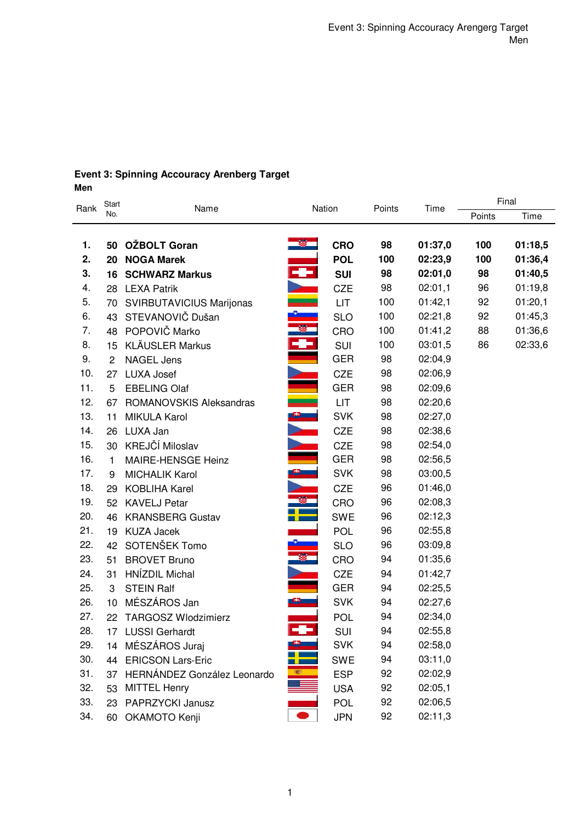### **Event 3: Spinning Accouracy Arenberg Target Men**

|      | Start          | Name                            |                      |            |        |         | Final  |         |  |  |
|------|----------------|---------------------------------|----------------------|------------|--------|---------|--------|---------|--|--|
| Rank | No.            |                                 |                      | Nation     | Points | Time    | Points | Time    |  |  |
|      |                |                                 |                      |            |        |         |        |         |  |  |
| 1.   | 50             | OŽBOLT Goran                    |                      | <b>CRO</b> | 98     | 01:37,0 | 100    | 01:18,5 |  |  |
| 2.   | 20             | <b>NOGA Marek</b>               |                      | <b>POL</b> | 100    | 02:23,9 | 100    | 01:36,4 |  |  |
| 3.   | 16             | <b>SCHWARZ Markus</b>           | ł                    | <b>SUI</b> | 98     | 02:01,0 | 98     | 01:40,5 |  |  |
| 4.   |                | 28 LEXA Patrik                  | $\ddot{\bullet}$     | CZE        | 98     | 02:01,1 | 96     | 01:19,8 |  |  |
| 5.   | 70             | <b>SVIRBUTAVICIUS Marijonas</b> |                      | LIT        | 100    | 01:42,1 | 92     | 01:20,1 |  |  |
| 6.   | 43             | STEVANOVIČ Dušan                |                      | <b>SLO</b> | 100    | 02:21,8 | 92     | 01:45,3 |  |  |
| 7.   | 48             | POPOVIČ Marko                   | ÷                    | CRO        | 100    | 01:41,2 | 88     | 01:36,6 |  |  |
| 8.   | 15             | <b>KLÄUSLER Markus</b>          |                      | SUI        | 100    | 03:01,5 | 86     | 02:33,6 |  |  |
| 9.   | $\overline{2}$ | <b>NAGEL Jens</b>               |                      | <b>GER</b> | 98     | 02:04,9 |        |         |  |  |
| 10.  | 27             | <b>LUXA Josef</b>               |                      | <b>CZE</b> | 98     | 02:06,9 |        |         |  |  |
| 11.  | 5              | <b>EBELING Olaf</b>             |                      | <b>GER</b> | 98     | 02:09,6 |        |         |  |  |
| 12.  | 67             | ROMANOVSKIS Aleksandras         | $\frac{1}{\sqrt{2}}$ | <b>LIT</b> | 98     | 02:20,6 |        |         |  |  |
| 13.  | 11             | <b>MIKULA Karol</b>             |                      | <b>SVK</b> | 98     | 02:27,0 |        |         |  |  |
| 14.  | 26             | LUXA Jan                        |                      | <b>CZE</b> | 98     | 02:38,6 |        |         |  |  |
| 15.  | 30             | KREJČÍ Miloslav                 |                      | <b>CZE</b> | 98     | 02:54,0 |        |         |  |  |
| 16.  | 1              | MAIRE-HENSGE Heinz              |                      | <b>GER</b> | 98     | 02:56,5 |        |         |  |  |
| 17.  | 9              | <b>MICHALIK Karol</b>           |                      | <b>SVK</b> | 98     | 03:00,5 |        |         |  |  |
| 18.  | 29             | <b>KOBLIHA Karel</b>            |                      | <b>CZE</b> | 96     | 01:46,0 |        |         |  |  |
| 19.  | 52             | <b>KAVELJ Petar</b>             |                      | CRO        | 96     | 02:08,3 |        |         |  |  |
| 20.  | 46             | <b>KRANSBERG Gustav</b>         |                      | <b>SWE</b> | 96     | 02:12,3 |        |         |  |  |
| 21.  |                | 19 KUZA Jacek                   |                      | POL        | 96     | 02:55,8 |        |         |  |  |
| 22.  |                | 42 SOTENŠEK Tomo                |                      | <b>SLO</b> | 96     | 03:09,8 |        |         |  |  |
| 23.  | 51             | <b>BROVET Bruno</b>             | 羅                    | CRO        | 94     | 01:35,6 |        |         |  |  |
| 24.  | 31             | <b>HNÍZDIL Michal</b>           |                      | <b>CZE</b> | 94     | 01:42,7 |        |         |  |  |
| 25.  | 3              | <b>STEIN Ralf</b>               |                      | <b>GER</b> | 94     | 02:25,5 |        |         |  |  |
| 26.  | 10             | MÉSZÁROS Jan                    | <u>e – </u>          | <b>SVK</b> | 94     | 02:27,6 |        |         |  |  |
| 27.  |                | 22 TARGOSZ Wlodzimierz          |                      | POL        | 94     | 02:34,0 |        |         |  |  |
| 28.  |                | 17 LUSSI Gerhardt               | ÷                    | SUI        | 94     | 02:55,8 |        |         |  |  |
| 29.  |                | 14 MÉSZÁROS Juraj               |                      | <b>SVK</b> | 94     | 02:58,0 |        |         |  |  |
| 30.  | 44             | <b>ERICSON Lars-Eric</b>        |                      | <b>SWE</b> | 94     | 03:11,0 |        |         |  |  |
| 31.  |                | 37 HERNÁNDEZ González Leonardo  | e I                  | <b>ESP</b> | 92     | 02:02,9 |        |         |  |  |
| 32.  | 53             | <b>MITTEL Henry</b>             |                      | <b>USA</b> | 92     | 02:05,1 |        |         |  |  |
| 33.  |                | 23 PAPRZYCKI Janusz             |                      | POL        | 92     | 02:06,5 |        |         |  |  |
| 34.  |                | 60 OKAMOTO Kenji                |                      | <b>JPN</b> | 92     | 02:11,3 |        |         |  |  |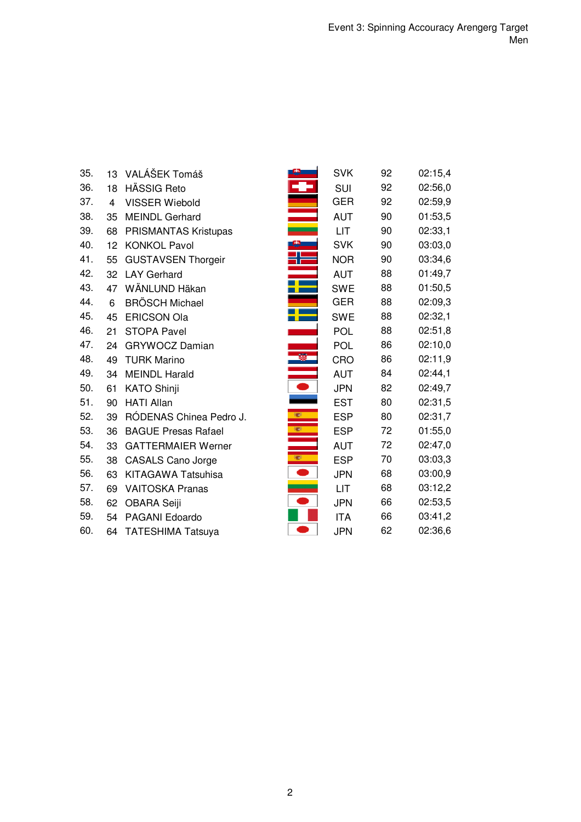| 35. | 13             | VALÁŠEK Tomáš              |      | <b>SVK</b> | 92 | 02:15,4 |
|-----|----------------|----------------------------|------|------------|----|---------|
| 36. | 18             | <b>HÄSSIG Reto</b>         |      | <b>SUI</b> | 92 | 02:56,0 |
| 37. | $\overline{4}$ | <b>VISSER Wiebold</b>      |      | <b>GER</b> | 92 | 02:59,9 |
| 38. | 35             | <b>MEINDL Gerhard</b>      |      | <b>AUT</b> | 90 | 01:53,5 |
| 39. | 68             | PRISMANTAS Kristupas       |      | LIT        | 90 | 02:33,1 |
| 40. | 12             | <b>KONKOL Pavol</b>        |      | <b>SVK</b> | 90 | 03:03,0 |
| 41. | 55             | <b>GUSTAVSEN Thorgeir</b>  |      | <b>NOR</b> | 90 | 03:34,6 |
| 42. | 32             | <b>LAY Gerhard</b>         |      | <b>AUT</b> | 88 | 01:49,7 |
| 43. | 47             | WÄNLUND Häkan              |      | <b>SWE</b> | 88 | 01:50,5 |
| 44. | 6              | <b>BRÖSCH Michael</b>      |      | <b>GER</b> | 88 | 02:09,3 |
| 45. | 45             | <b>ERICSON Ola</b>         |      | <b>SWE</b> | 88 | 02:32,1 |
| 46. | 21             | <b>STOPA Pavel</b>         |      | <b>POL</b> | 88 | 02:51,8 |
| 47. | 24             | <b>GRYWOCZ Damian</b>      |      | <b>POL</b> | 86 | 02:10,0 |
| 48. | 49             | <b>TURK Marino</b>         |      | CRO        | 86 | 02:11,9 |
| 49. | 34             | <b>MEINDL Harald</b>       |      | <b>AUT</b> | 84 | 02:44,1 |
| 50. | 61             | <b>KATO Shinji</b>         |      | <b>JPN</b> | 82 | 02:49,7 |
| 51. | 90             | <b>HATI Allan</b>          |      | <b>EST</b> | 80 | 02:31,5 |
| 52. | 39             | RÓDENAS Chinea Pedro J.    | 覆    | <b>ESP</b> | 80 | 02:31,7 |
| 53. | 36             | <b>BAGUE Presas Rafael</b> | 1927 | <b>ESP</b> | 72 | 01:55,0 |
| 54. | 33             | <b>GATTERMAIER Werner</b>  |      | <b>AUT</b> | 72 | 02:47,0 |
| 55. | 38             | <b>CASALS Cano Jorge</b>   | 瓣    | <b>ESP</b> | 70 | 03:03,3 |
| 56. | 63             | <b>KITAGAWA Tatsuhisa</b>  |      | <b>JPN</b> | 68 | 03:00,9 |
| 57. | 69             | <b>VAITOSKA Pranas</b>     |      | LIT        | 68 | 03:12,2 |
| 58. | 62             | <b>OBARA Seiji</b>         |      | <b>JPN</b> | 66 | 02:53,5 |
| 59. | 54             | PAGANI Edoardo             |      | <b>ITA</b> | 66 | 03:41,2 |
| 60. | 64             | <b>TATESHIMA Tatsuya</b>   |      | <b>JPN</b> | 62 | 02:36,6 |
|     |                |                            |      |            |    |         |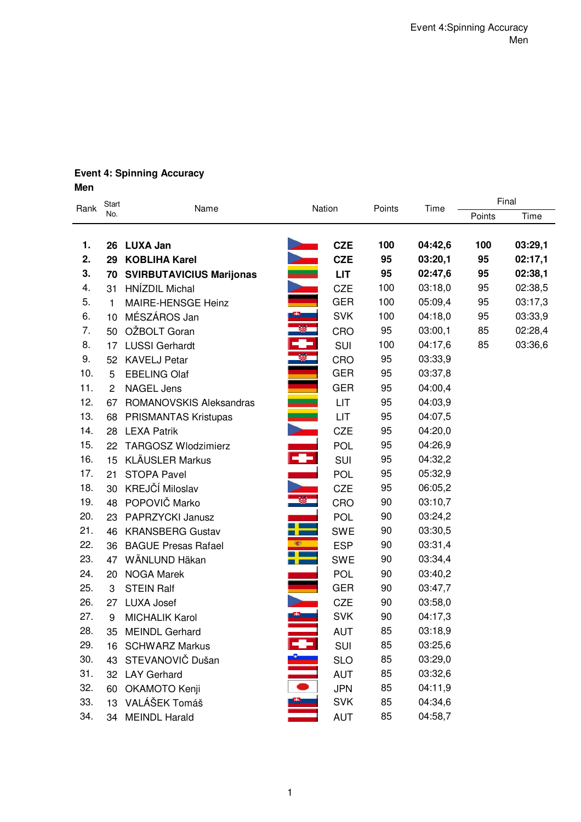# **Event 4: Spinning Accuracy Men**

|      | Start          | Name                            |                    | Nation     | Points | Time    | Final  |         |  |
|------|----------------|---------------------------------|--------------------|------------|--------|---------|--------|---------|--|
| Rank | No.            |                                 |                    |            |        |         | Points | Time    |  |
|      |                |                                 |                    |            |        |         |        |         |  |
| 1.   | 26             | LUXA Jan                        |                    | <b>CZE</b> | 100    | 04:42,6 | 100    | 03:29,1 |  |
| 2.   | 29             | <b>KOBLIHA Karel</b>            |                    | <b>CZE</b> | 95     | 03:20,1 | 95     | 02:17,1 |  |
| 3.   | 70             | <b>SVIRBUTAVICIUS Marijonas</b> | <b>TAILM</b>       | <b>LIT</b> | 95     | 02:47,6 | 95     | 02:38,1 |  |
| 4.   | 31             | HNÍZDIL Michal                  |                    | <b>CZE</b> | 100    | 03:18,0 | 95     | 02:38,5 |  |
| 5.   | 1              | MAIRE-HENSGE Heinz              |                    | <b>GER</b> | 100    | 05:09,4 | 95     | 03:17,3 |  |
| 6.   | 10             | MÉSZÁROS Jan                    |                    | <b>SVK</b> | 100    | 04:18,0 | 95     | 03:33,9 |  |
| 7.   | 50             | OŽBOLT Goran                    | ÷                  | CRO        | 95     | 03:00,1 | 85     | 02:28,4 |  |
| 8.   | 17             | <b>LUSSI Gerhardt</b>           |                    | SUI        | 100    | 04:17,6 | 85     | 03:36,6 |  |
| 9.   | 52             | <b>KAVELJ Petar</b>             |                    | CRO        | 95     | 03:33,9 |        |         |  |
| 10.  | 5              | <b>EBELING Olaf</b>             |                    | <b>GER</b> | 95     | 03:37,8 |        |         |  |
| 11.  | $\overline{2}$ | <b>NAGEL Jens</b>               |                    | <b>GER</b> | 95     | 04:00,4 |        |         |  |
| 12.  | 67             | ROMANOVSKIS Aleksandras         | ≣                  | LIT        | 95     | 04:03,9 |        |         |  |
| 13.  | 68             | PRISMANTAS Kristupas            |                    | LIT        | 95     | 04:07,5 |        |         |  |
| 14.  | 28             | <b>LEXA Patrik</b>              |                    | <b>CZE</b> | 95     | 04:20,0 |        |         |  |
| 15.  | 22             | <b>TARGOSZ Wlodzimierz</b>      |                    | <b>POL</b> | 95     | 04:26,9 |        |         |  |
| 16.  | 15             | <b>KLÄUSLER Markus</b>          | È٦                 | SUI        | 95     | 04:32,2 |        |         |  |
| 17.  | 21             | <b>STOPA Pavel</b>              |                    | <b>POL</b> | 95     | 05:32,9 |        |         |  |
| 18.  | 30             | KREJČÍ Miloslav                 |                    | CZE        | 95     | 06:05,2 |        |         |  |
| 19.  | 48             | POPOVIČ Marko                   | 靀                  | CRO        | 90     | 03:10,7 |        |         |  |
| 20.  | 23             | PAPRZYCKI Janusz                |                    | POL        | 90     | 03:24,2 |        |         |  |
| 21.  | 46             | <b>KRANSBERG Gustav</b>         | - 1                | <b>SWE</b> | 90     | 03:30,5 |        |         |  |
| 22.  | 36             | <b>BAGUE Presas Rafael</b>      |                    | <b>ESP</b> | 90     | 03:31,4 |        |         |  |
| 23.  | 47             | WÄNLUND Häkan                   |                    | <b>SWE</b> | 90     | 03:34,4 |        |         |  |
| 24.  | 20             | <b>NOGA Marek</b>               |                    | <b>POL</b> | 90     | 03:40,2 |        |         |  |
| 25.  | 3              | <b>STEIN Ralf</b>               |                    | <b>GER</b> | 90     | 03:47,7 |        |         |  |
| 26.  | 27             | <b>LUXA Josef</b>               |                    | <b>CZE</b> | 90     | 03:58,0 |        |         |  |
| 27.  | 9              | <b>MICHALIK Karol</b>           |                    | <b>SVK</b> | 90     | 04:17,3 |        |         |  |
| 28.  | 35             | <b>MEINDL Gerhard</b>           |                    | <b>AUT</b> | 85     | 03:18,9 |        |         |  |
| 29.  |                | 16 SCHWARZ Markus               |                    | SUI        | 85     | 03:25,6 |        |         |  |
| 30.  | 43             | STEVANOVIČ Dušan                | E I<br>O<br>O<br>O | <b>SLO</b> | 85     | 03:29,0 |        |         |  |
| 31.  | 32             | <b>LAY Gerhard</b>              |                    | <b>AUT</b> | 85     | 03:32,6 |        |         |  |
| 32.  | 60             | OKAMOTO Kenji                   |                    | <b>JPN</b> | 85     | 04:11,9 |        |         |  |
| 33.  | 13             | VALÁŠEK Tomáš                   |                    | <b>SVK</b> | 85     | 04:34,6 |        |         |  |
| 34.  |                | 34 MEINDL Harald                |                    | <b>AUT</b> | 85     | 04:58,7 |        |         |  |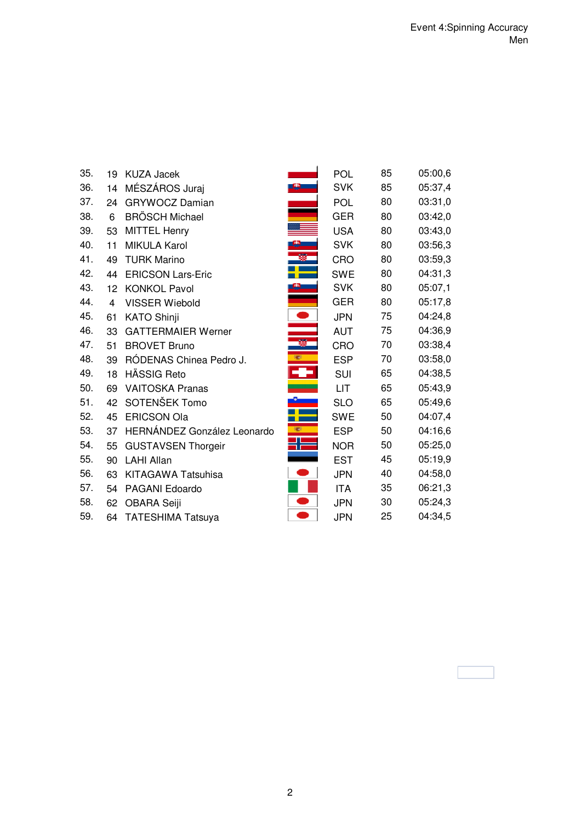| 35. | 19             | <b>KUZA Jacek</b>           |      | POL        | 85 | 05:00,6 |
|-----|----------------|-----------------------------|------|------------|----|---------|
| 36. | 14             | MÉSZÁROS Juraj              |      | <b>SVK</b> | 85 | 05:37,4 |
| 37. | 24             | <b>GRYWOCZ Damian</b>       |      | <b>POL</b> | 80 | 03:31,0 |
| 38. | 6              | <b>BRÖSCH Michael</b>       |      | <b>GER</b> | 80 | 03:42,0 |
| 39. | 53             | <b>MITTEL Henry</b>         |      | <b>USA</b> | 80 | 03:43,0 |
| 40. | 11             | <b>MIKULA Karol</b>         |      | <b>SVK</b> | 80 | 03:56,3 |
| 41. | 49             | <b>TURK Marino</b>          |      | CRO        | 80 | 03:59,3 |
| 42. | 44             | <b>ERICSON Lars-Eric</b>    |      | <b>SWE</b> | 80 | 04:31,3 |
| 43. | 12             | <b>KONKOL Pavol</b>         |      | <b>SVK</b> | 80 | 05:07,1 |
| 44. | $\overline{4}$ | <b>VISSER Wiebold</b>       |      | <b>GER</b> | 80 | 05:17,8 |
| 45. | 61             | <b>KATO Shinji</b>          |      | <b>JPN</b> | 75 | 04:24,8 |
| 46. | 33             | <b>GATTERMAIER Werner</b>   |      | <b>AUT</b> | 75 | 04:36,9 |
| 47. | 51             | <b>BROVET Bruno</b>         |      | CRO        | 70 | 03:38,4 |
| 48. | 39             | RÓDENAS Chinea Pedro J.     | 理    | <b>ESP</b> | 70 | 03:58,0 |
| 49. | 18             | HÄSSIG Reto                 | ÷    | <b>SUI</b> | 65 | 04:38,5 |
| 50. | 69             | <b>VAITOSKA Pranas</b>      |      | <b>LIT</b> | 65 | 05:43,9 |
| 51. | 42             | SOTENŠEK Tomo               |      | <b>SLO</b> | 65 | 05:49,6 |
| 52. | 45             | <b>ERICSON Ola</b>          |      | <b>SWE</b> | 50 | 04:07,4 |
| 53. | 37             | HERNÁNDEZ González Leonardo | 3837 | <b>ESP</b> | 50 | 04:16,6 |
| 54. | 55             | <b>GUSTAVSEN Thorgeir</b>   |      | <b>NOR</b> | 50 | 05:25,0 |
| 55. | 90             | <b>LAHI Allan</b>           |      | <b>EST</b> | 45 | 05:19,9 |
| 56. | 63             | KITAGAWA Tatsuhisa          |      | <b>JPN</b> | 40 | 04:58,0 |
| 57. | 54             | PAGANI Edoardo              |      | <b>ITA</b> | 35 | 06:21,3 |
| 58. | 62             | <b>OBARA Seiji</b>          |      | <b>JPN</b> | 30 | 05:24,3 |
| 59. | 64             | <b>TATESHIMA Tatsuya</b>    |      | <b>JPN</b> | 25 | 04:34,5 |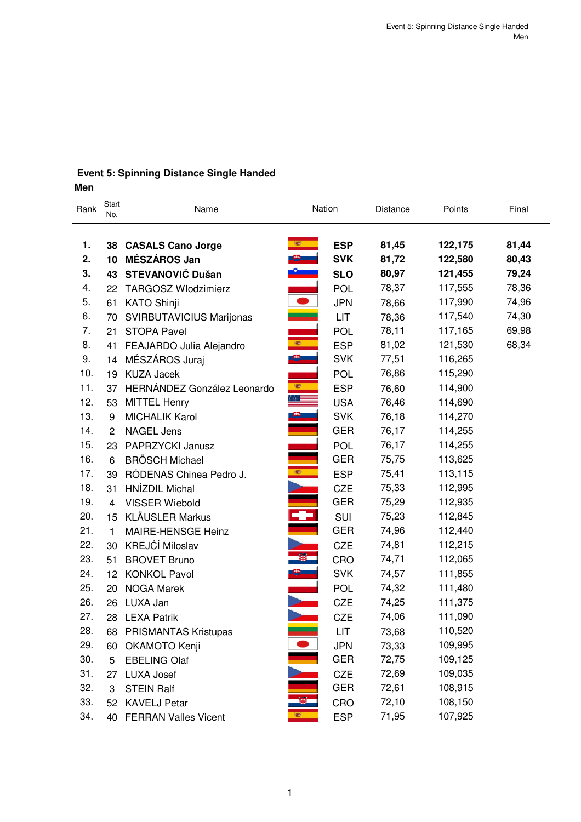# **Event 5: Spinning Distance Single Handed Men**

| Rank | Start<br>No.   | Name                        | Nation                           |            | Distance | Points  | Final |
|------|----------------|-----------------------------|----------------------------------|------------|----------|---------|-------|
| 1.   |                | 38 CASALS Cano Jorge        | (1)                              | <b>ESP</b> | 81,45    | 122,175 | 81,44 |
| 2.   | 10             | MÉSZÁROS Jan                |                                  | <b>SVK</b> | 81,72    | 122,580 | 80,43 |
| 3.   | 43             | STEVANOVIČ Dušan            | $\frac{c}{\sqrt{1-\frac{c}{c}}}$ | <b>SLO</b> | 80,97    | 121,455 | 79,24 |
| 4.   | 22             | <b>TARGOSZ Wlodzimierz</b>  |                                  | POL        | 78,37    | 117,555 | 78,36 |
| 5.   | 61             | <b>KATO Shinji</b>          | $\bullet$                        | <b>JPN</b> | 78,66    | 117,990 | 74,96 |
| 6.   | 70             | SVIRBUTAVICIUS Marijonas    |                                  | <b>LIT</b> | 78,36    | 117,540 | 74,30 |
| 7.   | 21             | <b>STOPA Pavel</b>          |                                  | <b>POL</b> | 78,11    | 117,165 | 69,98 |
| 8.   | 41             | FEAJARDO Julia Alejandro    |                                  | <b>ESP</b> | 81,02    | 121,530 | 68,34 |
| 9.   | 14             | MÉSZÁROS Juraj              | <b>B</b>                         | <b>SVK</b> | 77,51    | 116,265 |       |
| 10.  | 19             | <b>KUZA Jacek</b>           |                                  | <b>POL</b> | 76,86    | 115,290 |       |
| 11.  | 37             | HERNÁNDEZ González Leonardo | B.                               | <b>ESP</b> | 76,60    | 114,900 |       |
| 12.  | 53             | <b>MITTEL Henry</b>         |                                  | <b>USA</b> | 76,46    | 114,690 |       |
| 13.  | 9              | <b>MICHALIK Karol</b>       | <b>中一</b>                        | <b>SVK</b> | 76,18    | 114,270 |       |
| 14.  | $\overline{2}$ | <b>NAGEL Jens</b>           |                                  | <b>GER</b> | 76,17    | 114,255 |       |
| 15.  | 23             | PAPRZYCKI Janusz            |                                  | <b>POL</b> | 76,17    | 114,255 |       |
| 16.  | 6              | <b>BRÖSCH Michael</b>       |                                  | <b>GER</b> | 75,75    | 113,625 |       |
| 17.  | 39             | RÓDENAS Chinea Pedro J.     | <b>B</b>                         | <b>ESP</b> | 75,41    | 113,115 |       |
| 18.  | 31             | HNÍZDIL Michal              |                                  | <b>CZE</b> | 75,33    | 112,995 |       |
| 19.  | 4              | <b>VISSER Wiebold</b>       |                                  | <b>GER</b> | 75,29    | 112,935 |       |
| 20.  | 15             | <b>KLÄUSLER Markus</b>      |                                  | SUI        | 75,23    | 112,845 |       |
| 21.  | $\mathbf{1}$   | MAIRE-HENSGE Heinz          |                                  | <b>GER</b> | 74,96    | 112,440 |       |
| 22.  | 30             | KREJČÍ Miloslav             |                                  | <b>CZE</b> | 74,81    | 112,215 |       |
| 23.  | 51             | <b>BROVET Bruno</b>         |                                  | CRO        | 74,71    | 112,065 |       |
| 24.  | 12             | <b>KONKOL Pavol</b>         |                                  | <b>SVK</b> | 74,57    | 111,855 |       |
| 25.  | 20             | <b>NOGA Marek</b>           |                                  | <b>POL</b> | 74,32    | 111,480 |       |
| 26.  | 26             | LUXA Jan                    | $\overline{}$                    | <b>CZE</b> | 74,25    | 111,375 |       |
| 27.  | 28             | <b>LEXA Patrik</b>          |                                  | CZE        | 74,06    | 111,090 |       |
| 28.  | 68             | <b>PRISMANTAS Kristupas</b> |                                  | LIT        | 73,68    | 110,520 |       |
| 29.  | 60             | OKAMOTO Kenji               |                                  | <b>JPN</b> | 73,33    | 109,995 |       |
| 30.  | 5              | <b>EBELING Olaf</b>         |                                  | <b>GER</b> | 72,75    | 109,125 |       |
| 31.  | 27             | LUXA Josef                  |                                  | <b>CZE</b> | 72,69    | 109,035 |       |
| 32.  | 3              | <b>STEIN Ralf</b>           |                                  | <b>GER</b> | 72,61    | 108,915 |       |
| 33.  | 52             | <b>KAVELJ Petar</b>         |                                  | CRO        | 72,10    | 108,150 |       |
| 34.  |                | 40 FERRAN Valles Vicent     |                                  | <b>ESP</b> | 71,95    | 107,925 |       |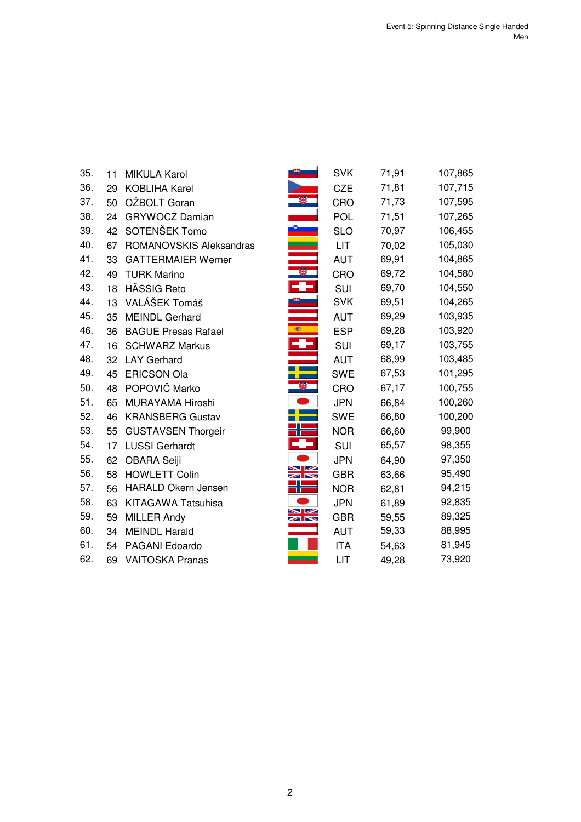| 35. | 11 | <b>MIKULA Karol</b>        |                                         | <b>SVK</b> | 71,91 | 107,865 |
|-----|----|----------------------------|-----------------------------------------|------------|-------|---------|
| 36. | 29 | <b>KOBLIHA Karel</b>       |                                         | <b>CZE</b> | 71,81 | 107,715 |
| 37. | 50 | OŽBOLT Goran               |                                         | CRO        | 71,73 | 107,595 |
| 38. | 24 | <b>GRYWOCZ Damian</b>      |                                         | <b>POL</b> | 71,51 | 107,265 |
| 39. | 42 | SOTENŠEK Tomo              |                                         | <b>SLO</b> | 70,97 | 106,455 |
| 40. | 67 | ROMANOVSKIS Aleksandras    |                                         | LIT.       | 70,02 | 105,030 |
| 41. | 33 | <b>GATTERMAIER Werner</b>  |                                         | <b>AUT</b> | 69,91 | 104,865 |
| 42. | 49 | <b>TURK Marino</b>         |                                         | CRO        | 69,72 | 104,580 |
| 43. | 18 | HÄSSIG Reto                | 53                                      | <b>SUI</b> | 69,70 | 104,550 |
| 44. | 13 | VALÁŠEK Tomáš              |                                         | <b>SVK</b> | 69,51 | 104,265 |
| 45. | 35 | <b>MEINDL Gerhard</b>      |                                         | <b>AUT</b> | 69,29 | 103,935 |
| 46. | 36 | <b>BAGUE Presas Rafael</b> | 編                                       | <b>ESP</b> | 69,28 | 103,920 |
| 47. | 16 | <b>SCHWARZ Markus</b>      |                                         | SUI        | 69,17 | 103,755 |
| 48. | 32 | <b>LAY Gerhard</b>         |                                         | <b>AUT</b> | 68,99 | 103,485 |
| 49. | 45 | <b>ERICSON Ola</b>         |                                         | <b>SWE</b> | 67,53 | 101,295 |
| 50. | 48 | POPOVIČ Marko              |                                         | CRO        | 67,17 | 100,755 |
| 51. | 65 | MURAYAMA Hiroshi           |                                         | <b>JPN</b> | 66,84 | 100,260 |
| 52. | 46 | <b>KRANSBERG Gustav</b>    |                                         | <b>SWE</b> | 66,80 | 100,200 |
| 53. | 55 | <b>GUSTAVSEN Thorgeir</b>  | ז ר                                     | <b>NOR</b> | 66,60 | 99,900  |
| 54. | 17 | <b>LUSSI Gerhardt</b>      |                                         | SUI        | 65,57 | 98,355  |
| 55. | 62 | OBARA Seiji                |                                         | <b>JPN</b> | 64,90 | 97,350  |
| 56. | 58 | <b>HOWLETT Colin</b>       | $\blacktriangleright$<br>$\blacksquare$ | <b>GBR</b> | 63,66 | 95,490  |
| 57. | 56 | <b>HARALD Okern Jensen</b> |                                         | <b>NOR</b> | 62,81 | 94,215  |
| 58. | 63 | <b>KITAGAWA Tatsuhisa</b>  |                                         | <b>JPN</b> | 61,89 | 92,835  |
| 59. | 59 | <b>MILLER Andy</b>         | ↘∠<br>$\blacksquare$                    | <b>GBR</b> | 59,55 | 89,325  |
| 60. | 34 | <b>MEINDL Harald</b>       |                                         | <b>AUT</b> | 59,33 | 88,995  |
| 61. | 54 | PAGANI Edoardo             |                                         | <b>ITA</b> | 54,63 | 81,945  |
| 62. | 69 | <b>VAITOSKA Pranas</b>     |                                         | LIT        | 49,28 | 73,920  |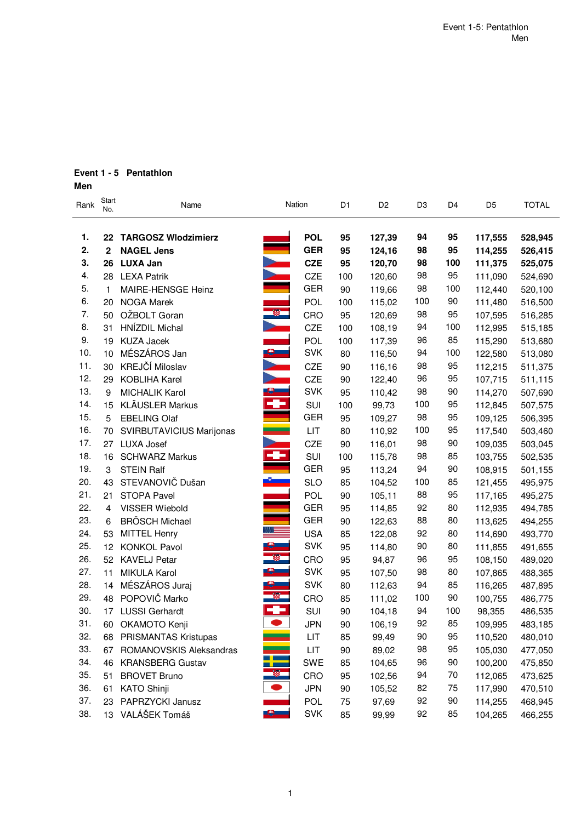# **Event 1 - 5 Pentathlon**

**Men**

| Rank | Start<br>No. | Name                       |                         | Nation     | D <sub>1</sub> | D <sub>2</sub> | D <sub>3</sub> | D <sub>4</sub> | D <sub>5</sub> | <b>TOTAL</b> |
|------|--------------|----------------------------|-------------------------|------------|----------------|----------------|----------------|----------------|----------------|--------------|
|      |              |                            |                         |            |                |                |                |                |                |              |
| 1.   | 22           | <b>TARGOSZ Wlodzimierz</b> |                         | <b>POL</b> | 95             | 127,39         | 94             | 95             | 117,555        | 528,945      |
| 2.   | 2            | <b>NAGEL Jens</b>          |                         | <b>GER</b> | 95             | 124,16         | 98             | 95             | 114,255        | 526,415      |
| 3.   | 26           | <b>LUXA Jan</b>            |                         | <b>CZE</b> | 95             | 120,70         | 98             | 100            | 111,375        | 525,075      |
| 4.   |              | 28 LEXA Patrik             |                         | CZE        | 100            | 120,60         | 98             | 95             | 111,090        | 524,690      |
| 5.   | 1            | MAIRE-HENSGE Heinz         |                         | <b>GER</b> | 90             | 119,66         | 98             | 100            | 112,440        | 520,100      |
| 6.   | 20           | <b>NOGA Marek</b>          |                         | POL.       | 100            | 115,02         | 100            | 90             | 111,480        | 516,500      |
| 7.   | 50           | OŽBOLT Goran               |                         | CRO        | 95             | 120,69         | 98             | 95             | 107,595        | 516,285      |
| 8.   | 31           | HNÍZDIL Michal             |                         | CZE        | 100            | 108,19         | 94             | 100            | 112,995        | 515,185      |
| 9.   | 19           | <b>KUZA Jacek</b>          |                         | <b>POL</b> | 100            | 117,39         | 96             | 85             | 115,290        | 513,680      |
| 10.  | 10           | MÉSZÁROS Jan               | $\mathbf{e}_{-}$        | <b>SVK</b> | 80             | 116,50         | 94             | 100            | 122,580        | 513,080      |
| 11.  | 30           | KREJČÍ Miloslav            |                         | CZE        | 90             | 116,16         | 98             | 95             | 112,215        | 511,375      |
| 12.  | 29           | KOBLIHA Karel              |                         | CZE        | 90             | 122,40         | 96             | 95             | 107,715        | 511,115      |
| 13.  | 9            | <b>MICHALIK Karol</b>      |                         | <b>SVK</b> | 95             | 110,42         | 98             | 90             | 114,270        | 507,690      |
| 14.  | 15           | <b>KLÄUSLER Markus</b>     | ÷                       | SUI        | 100            | 99,73          | 100            | 95             | 112,845        | 507,575      |
| 15.  | 5            | <b>EBELING Olaf</b>        |                         | <b>GER</b> | 95             | 109,27         | 98             | 95             | 109,125        | 506,395      |
| 16.  | 70           | SVIRBUTAVICIUS Marijonas   |                         | LIT        | 80             | 110,92         | 100            | 95             | 117,540        | 503,460      |
| 17.  | 27           | <b>LUXA Josef</b>          | $\overline{\mathbf{r}}$ | CZE        | 90             | 116,01         | 98             | 90             | 109,035        | 503,045      |
| 18.  | 16           | <b>SCHWARZ Markus</b>      |                         | SUI        | 100            | 115,78         | 98             | 85             | 103,755        | 502,535      |
| 19.  | 3            | <b>STEIN Ralf</b>          |                         | <b>GER</b> | 95             | 113,24         | 94             | 90             | 108,915        | 501,155      |
| 20.  | 43           | STEVANOVIČ Dušan           |                         | <b>SLO</b> | 85             | 104,52         | 100            | 85             | 121,455        | 495,975      |
| 21.  | 21           | STOPA Pavel                |                         | POL.       | 90             | 105,11         | 88             | 95             | 117,165        | 495,275      |
| 22.  | 4            | VISSER Wiebold             |                         | <b>GER</b> | 95             | 114,85         | 92             | 80             | 112,935        | 494,785      |
| 23.  | 6            | <b>BRÖSCH Michael</b>      |                         | <b>GER</b> | 90             | 122,63         | 88             | 80             | 113,625        | 494,255      |
| 24.  | 53           | <b>MITTEL Henry</b>        |                         | <b>USA</b> | 85             | 122,08         | 92             | 80             | 114,690        | 493,770      |
| 25.  | 12           | <b>KONKOL Pavol</b>        |                         | <b>SVK</b> | 95             | 114,80         | 90             | 80             | 111,855        | 491,655      |
| 26.  | 52           | <b>KAVELJ Petar</b>        | ø,                      | CRO        | 95             | 94,87          | 96             | 95             | 108,150        | 489,020      |
| 27.  | 11           | MIKULA Karol               | 8. Jan                  | <b>SVK</b> | 95             | 107,50         | 98             | 80             | 107,865        | 488,365      |
| 28.  | 14           | MÉSZÁROS Juraj             |                         | <b>SVK</b> | 80             | 112,63         | 94             | 85             | 116,265        | 487,895      |
| 29.  | 48           | POPOVIČ Marko              |                         | CRO        | 85             | 111,02         | 100            | 90             | 100,755        | 486,775      |
| 30.  | 17           | <b>LUSSI Gerhardt</b>      | ÷                       | SUI        | 90             | 104,18         | 94             | 100            | 98,355         | 486,535      |
| 31.  | 60           | OKAMOTO Kenji              |                         | <b>JPN</b> | 90             | 106,19         | 92             | 85             | 109,995        | 483,185      |
| 32.  |              | 68 PRISMANTAS Kristupas    |                         | LIT        | 85             | 99,49          | 90             | 95             | 110,520        | 480,010      |
| 33.  | 67           | ROMANOVSKIS Aleksandras    |                         | LIT        | 90             | 89,02          | 98             | 95             | 105,030        | 477,050      |
| 34.  | 46           | <b>KRANSBERG Gustav</b>    | l,                      | <b>SWE</b> | 85             | 104,65         | 96             | 90             | 100,200        | 475,850      |
| 35.  | 51           | <b>BROVET Bruno</b>        |                         | CRO        | 95             | 102,56         | 94             | 70             | 112,065        | 473,625      |
| 36.  | 61           | <b>KATO Shinji</b>         |                         | <b>JPN</b> | 90             | 105,52         | 82             | 75             | 117,990        | 470,510      |
| 37.  |              | 23 PAPRZYCKI Janusz        |                         | <b>POL</b> | 75             | 97,69          | 92             | 90             | 114,255        | 468,945      |
| 38.  |              | 13 VALÁŠEK Tomáš           |                         | <b>SVK</b> | 85             | 99,99          | 92             | 85             | 104,265        | 466,255      |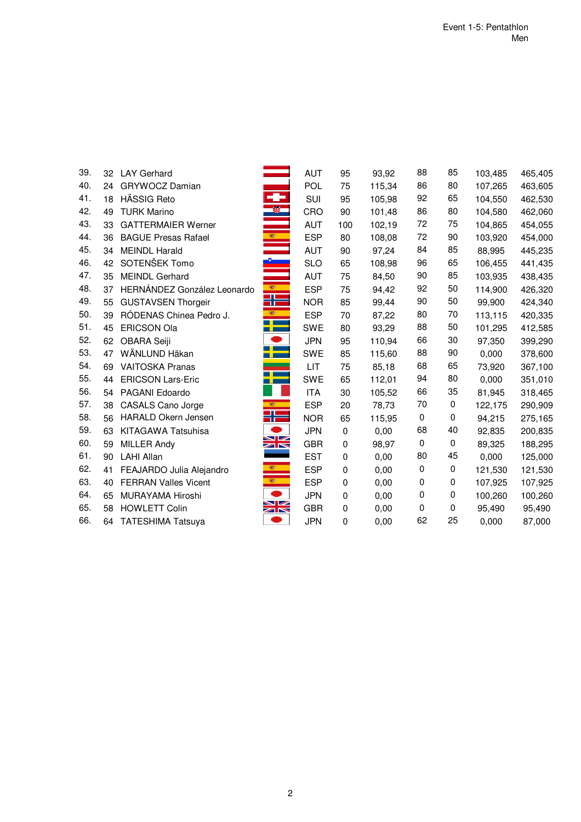| 39. |    | 32 LAY Gerhard              |               | <b>AUT</b> | 95        | 93,92  | 88        | 85          | 103,485 | 465,405 |
|-----|----|-----------------------------|---------------|------------|-----------|--------|-----------|-------------|---------|---------|
| 40. | 24 | <b>GRYWOCZ Damian</b>       |               | POL        | 75        | 115,34 | 86        | 80          | 107,265 | 463,605 |
| 41. | 18 | <b>HÄSSIG Reto</b>          | ÷             | <b>SUI</b> | 95        | 105,98 | 92        | 65          | 104,550 | 462,530 |
| 42. | 49 | <b>TURK Marino</b>          | $\mathcal{R}$ | CRO        | 90        | 101,48 | 86        | 80          | 104,580 | 462,060 |
| 43. | 33 | <b>GATTERMAIER Werner</b>   |               | <b>AUT</b> | 100       | 102,19 | 72        | 75          | 104,865 | 454,055 |
| 44. | 36 | <b>BAGUE Presas Rafael</b>  |               | <b>ESP</b> | 80        | 108,08 | 72        | 90          | 103,920 | 454,000 |
| 45. | 34 | <b>MEINDL Harald</b>        |               | <b>AUT</b> | 90        | 97,24  | 84        | 85          | 88,995  | 445,235 |
| 46. | 42 | SOTENŠEK Tomo               |               | <b>SLO</b> | 65        | 108,98 | 96        | 65          | 106,455 | 441,435 |
| 47. | 35 | <b>MEINDL Gerhard</b>       |               | <b>AUT</b> | 75        | 84,50  | 90        | 85          | 103,935 | 438,435 |
| 48. | 37 | HERNÁNDEZ González Leonardo | 樂 -           | <b>ESP</b> | 75        | 94,42  | 92        | 50          | 114,900 | 426,320 |
| 49. | 55 | <b>GUSTAVSEN Thorgeir</b>   | ╬═            | <b>NOR</b> | 85        | 99,44  | 90        | 50          | 99,900  | 424,340 |
| 50. | 39 | RÓDENAS Chinea Pedro J.     | B.            | <b>ESP</b> | 70        | 87,22  | 80        | 70          | 113,115 | 420,335 |
| 51. | 45 | <b>ERICSON Ola</b>          |               | <b>SWE</b> | 80        | 93,29  | 88        | 50          | 101,295 | 412,585 |
| 52. | 62 | OBARA Seiji                 |               | <b>JPN</b> | 95        | 110,94 | 66        | 30          | 97,350  | 399,290 |
| 53. | 47 | WÄNLUND Häkan               | --            | <b>SWE</b> | 85        | 115,60 | 88        | 90          | 0,000   | 378,600 |
| 54. | 69 | <b>VAITOSKA Pranas</b>      |               | LIT        | 75        | 85,18  | 68        | 65          | 73,920  | 367,100 |
| 55. | 44 | <b>ERICSON Lars-Eric</b>    |               | <b>SWE</b> | 65        | 112,01 | 94        | 80          | 0,000   | 351,010 |
| 56. | 54 | PAGANI Edoardo              |               | <b>ITA</b> | 30        | 105,52 | 66        | 35          | 81,945  | 318,465 |
| 57. | 38 | <b>CASALS Cano Jorge</b>    | 1987          | <b>ESP</b> | 20        | 78,73  | 70        | 0           | 122,175 | 290,909 |
| 58. | 56 | HARALD Okern Jensen         | ╬═            | <b>NOR</b> | 65        | 115,95 | $\pmb{0}$ | $\mathbf 0$ | 94,215  | 275,165 |
| 59. | 63 | KITAGAWA Tatsuhisa          |               | <b>JPN</b> | 0         | 0,00   | 68        | 40          | 92,835  | 200,835 |
| 60. | 59 | <b>MILLER Andy</b>          | XK            | <b>GBR</b> | $\pmb{0}$ | 98,97  | 0         | 0           | 89,325  | 188,295 |
| 61. | 90 | <b>LAHI Allan</b>           |               | <b>EST</b> | 0         | 0,00   | 80        | 45          | 0,000   | 125,000 |
| 62. | 41 | FEAJARDO Julia Alejandro    | 樂             | <b>ESP</b> | 0         | 0,00   | 0         | 0           | 121,530 | 121,530 |
| 63. | 40 | <b>FERRAN Valles Vicent</b> |               | <b>ESP</b> | $\pmb{0}$ | 0,00   | 0         | 0           | 107,925 | 107,925 |
| 64. | 65 | MURAYAMA Hiroshi            |               | <b>JPN</b> | 0         | 0,00   | 0         | 0           | 100,260 | 100,260 |
| 65. | 58 | <b>HOWLETT Colin</b>        | ➤<br>$\times$ | <b>GBR</b> | 0         | 0,00   | 0         | 0           | 95,490  | 95,490  |
| 66. | 64 | <b>TATESHIMA Tatsuya</b>    |               | <b>JPN</b> | 0         | 0,00   | 62        | 25          | 0,000   | 87,000  |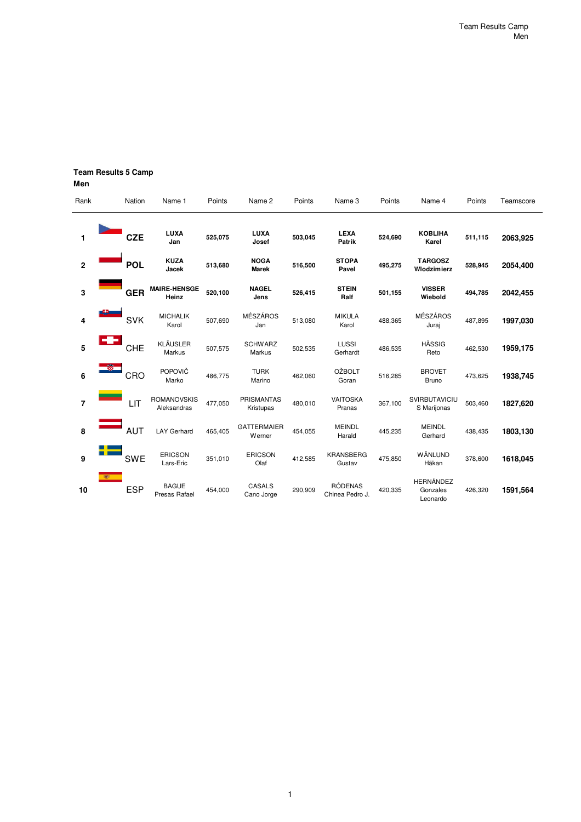# **Team Results 5 Camp**

**Men**

| Rank |            | Nation     | Name 1                            | Points  | Name 2                         | Points  | Name 3                            | Points  | Name 4                                   | Points  | Teamscore |
|------|------------|------------|-----------------------------------|---------|--------------------------------|---------|-----------------------------------|---------|------------------------------------------|---------|-----------|
| 1    |            | <b>CZE</b> | LUXA<br>Jan                       | 525,075 | LUXA<br>Josef                  | 503,045 | <b>LEXA</b><br><b>Patrik</b>      | 524,690 | <b>KOBLIHA</b><br>Karel                  | 511,115 | 2063,925  |
| 2    |            | <b>POL</b> | <b>KUZA</b><br>Jacek              | 513,680 | <b>NOGA</b><br><b>Marek</b>    | 516,500 | <b>STOPA</b><br>Pavel             | 495,275 | <b>TARGOSZ</b><br>Wlodzimierz            | 528,945 | 2054,400  |
| 3    |            | <b>GER</b> | <b>MAIRE-HENSGE</b><br>Heinz      | 520,100 | <b>NAGEL</b><br>Jens           | 526,415 | <b>STEIN</b><br>Ralf              | 501,155 | <b>VISSER</b><br>Wiebold                 | 494,785 | 2042,455  |
| 4    |            | <b>SVK</b> | <b>MICHALIK</b><br>Karol          | 507,690 | <b>MÉSZÁROS</b><br>Jan         | 513,080 | <b>MIKULA</b><br>Karol            | 488,365 | <b>MÉSZÁROS</b><br>Juraj                 | 487,895 | 1997,030  |
| 5    | -3-        | <b>CHE</b> | <b>KLÄUSLER</b><br>Markus         | 507,575 | <b>SCHWARZ</b><br>Markus       | 502,535 | LUSSI<br>Gerhardt                 | 486,535 | <b>HÄSSIG</b><br>Reto                    | 462,530 | 1959,175  |
| 6    |            | CRO        | POPOVIČ<br>Marko                  | 486,775 | <b>TURK</b><br>Marino          | 462,060 | <b>OŽBOLT</b><br>Goran            | 516,285 | <b>BROVET</b><br><b>Bruno</b>            | 473,625 | 1938,745  |
| 7    |            | LIT        | <b>ROMANOVSKIS</b><br>Aleksandras | 477,050 | <b>PRISMANTAS</b><br>Kristupas | 480,010 | <b>VAITOSKA</b><br>Pranas         | 367,100 | SVIRBUTAVICIU<br>S Marijonas             | 503,460 | 1827,620  |
| 8    |            | <b>AUT</b> | <b>LAY Gerhard</b>                | 465,405 | <b>GATTERMAIER</b><br>Werner   | 454,055 | <b>MEINDL</b><br>Harald           | 445,235 | <b>MEINDL</b><br>Gerhard                 | 438,435 | 1803,130  |
| 9    |            | <b>SWE</b> | <b>ERICSON</b><br>Lars-Eric       | 351,010 | <b>ERICSON</b><br>Olaf         | 412,585 | <b>KRANSBERG</b><br>Gustav        | 475,850 | <b>WÄNLUND</b><br>Häkan                  | 378,600 | 1618,045  |
| 10   | <b>SEP</b> | <b>ESP</b> | <b>BAGUE</b><br>Presas Rafael     | 454,000 | <b>CASALS</b><br>Cano Jorge    | 290,909 | <b>RÓDENAS</b><br>Chinea Pedro J. | 420,335 | <b>HERNÁNDEZ</b><br>Gonzales<br>Leonardo | 426,320 | 1591,564  |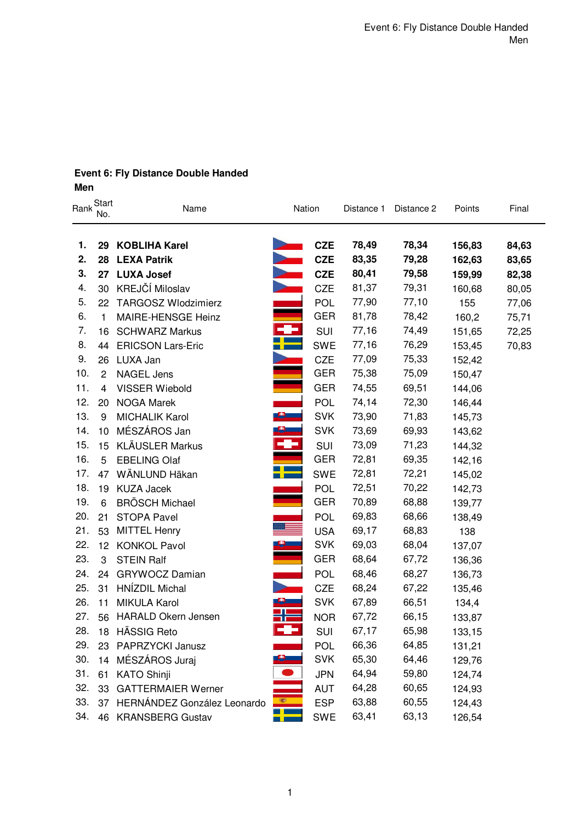### **Event 6: Fly Distance Double Handed Men**

**1. 29 KOBLIHA Karel CZE 78,49 78,34 156,83 84,63 2. 28 LEXA Patrik CZE 83,35 79,28 162,63 83,65 3. 27 LUXA Josef CZE 80,41 79,58 159,99 82,38** 4. 30 KREJČÍ Miloslav CZE 81,37 79,31 160,68 80,05 5. 22 TARGOSZ Wlodzimierz **POL 77,90 77,10 155 77,06** 6. 1 MAIRE-HENSGE Heinz **GER** 81,78 78,42 160,2 75,71 7. 16 SCHWARZ Markus **SUI 77,16** 74,49 151,65 72,25 8. 44 ERICSON Lars-Eric **SWE 77,16 76,29 153,45 70,83** 9. 26 LUXA Jan CZE 77,09 75,33 152,42 10. 2 NAGEL Jens **GER** GER 75,38 75,09 150,47 11. 4 VISSER Wiebold **GER** 74,55 69,51 144,06 12. 20 NOGA Marek **POL 74,14 72,30 146.44** 13. 9 MICHALIK Karol SVK 73,90 71,83 145,73<br>
14. 10 MÉSZÁROS Jan SVK 73,69 69,93 143,62<br>
15. 15 KLÄUSLER Markus SUI 73,09 71,23 144,32<br>
16. 5 EBELING Olaf SUI 72,81 69,35 142,16<br>
17. 47 WÄNLUND Häkan SWE 72,81 72,21 145,02 14. 10 MÉSZÁROS Jan SVK 73,69 69,93 143,62 15. 15 KLÄUSLER Markus SUI 19. SUI 73,09 71,23 144,32 16. 5 EBELING Olaf GER 72,81 69,35 142.16 17. 47 WÄNLUND Häkan SWE 72,81 72,21 145,02 18. 19 KUZA Jacek **POL 72,51 70,22 142,73** 19. 6 BRÖSCH Michael **GER** 68,88 139,77 20. 21 STOPA Pavel **POL 69,83** 68,66 138,49 21. 53 MITTEL Henry **Decision Server States 12. 12 KONKOL Pavol**<br>22. 12 KONKOL Pavol **Decision SER 69,03** 68,04 137,0<br>23. 3 STEIN Ralf **Decision CONTRACT 126,3** 22. 12 KONKOL Pavol **SUBLIC SVK** 69,03 68,04 137,07 23. 3 STEIN Ralf **GER** GER 68,64 67,72 136,36 24. 24 GRYWOCZ Damian **POL 68,46** 68,27 136,73 25. 31 HNÍZDIL Michal CZE 68,24 67,22 135,46 26. 11 MIKULA Karol **COVID-19 12 SVK 67,89 66,51 134,4** 27. 56 HARALD Okern Jensen **Norman Strategy 12. 12. 12. 13. 13. 133,87** 28. 18 HÄSSIG Reto SUI 67,17 65,98 133,15 29. 23 PAPRZYCKI Janusz **POL 66,36 64,85 131,21** 30. 14 MÉSZÁROS Juraj **SVK 65,30 64,46 129,76** 31. 61 KATO Shinji JPN 64,94 59,80 124,74 32. 33 GATTERMAIER Werner **AUT 44,28** 60,65 124,93 33. 37 HERNÁNDEZ González Leonardo **ESP** ESP 63,88 60,55 124.43 Start<br>Rank New Start Chame Start Start Controller Nation Distance 1 Distance 2 Points Final name Name Nation Distance 1 Distance 2<br>No.

34. 46 KRANSBERG Gustav **STERES SWE 63,41 63,13 126,54** 

1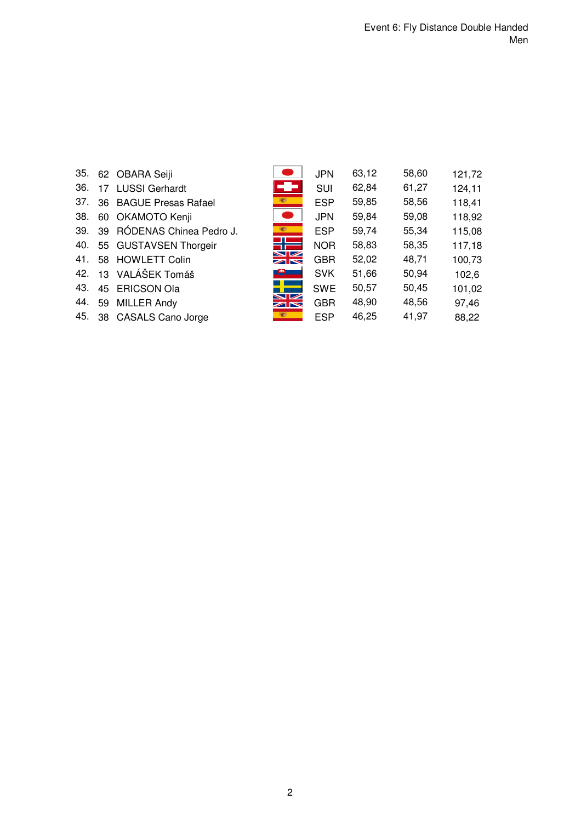| 35. |    | 62 OBARA Seiji             |                      | <b>JPN</b> | 63,12 | 58,60 | 121,72 |
|-----|----|----------------------------|----------------------|------------|-------|-------|--------|
| 36. | 17 | <b>LUSSI Gerhardt</b>      | ÷                    | <b>SUI</b> | 62,84 | 61,27 | 124,11 |
| 37. |    | 36 BAGUE Presas Rafael     | <b>RESERVE</b>       | <b>ESP</b> | 59,85 | 58,56 | 118,41 |
| 38. | 60 | OKAMOTO Kenji              |                      | <b>JPN</b> | 59,84 | 59,08 | 118,92 |
| 39. |    | 39 RÓDENAS Chinea Pedro J. | S                    | <b>ESP</b> | 59,74 | 55,34 | 115,08 |
| 40. |    | 55 GUSTAVSEN Thorgeir      |                      | <b>NOR</b> | 58,83 | 58,35 | 117,18 |
| 41. |    | 58 HOWLETT Colin           | ➤∠<br>$\blacksquare$ | <b>GBR</b> | 52,02 | 48,71 | 100,73 |
| 42. |    | 13 VALÁŠEK Tomáš           |                      | <b>SVK</b> | 51,66 | 50,94 | 102,6  |
| 43. |    | 45 ERICSON Ola             |                      | <b>SWE</b> | 50,57 | 50,45 | 101,02 |
| 44. | 59 | <b>MILLER Andy</b>         | $\geq$               | <b>GBR</b> | 48,90 | 48,56 | 97,46  |
| 45. |    | 38 CASALS Cano Jorge       |                      | <b>ESP</b> | 46,25 | 41,97 | 88,22  |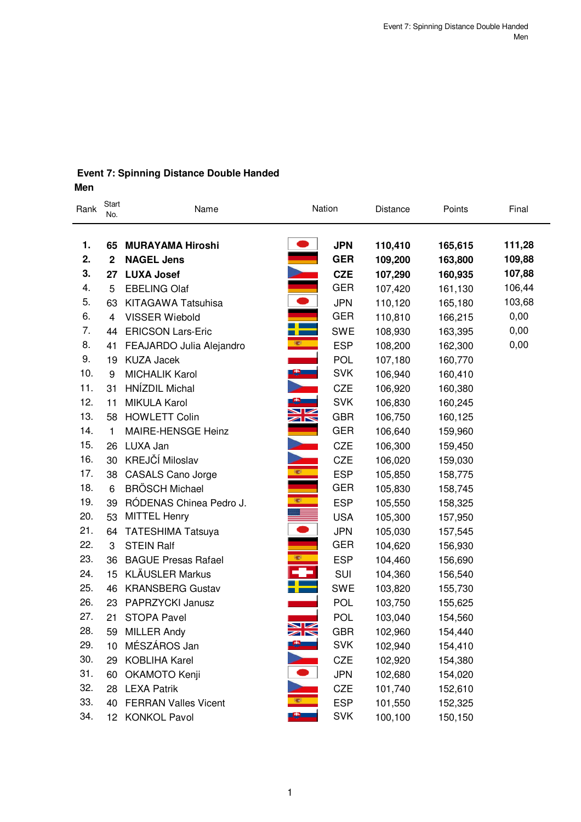# **Event 7: Spinning Distance Double Handed Men**

| Rank     | Start<br>No.      | Name                                         |                                  | Nation                   | Distance           | Points             | Final            |
|----------|-------------------|----------------------------------------------|----------------------------------|--------------------------|--------------------|--------------------|------------------|
| 1.<br>2. | 65<br>$\mathbf 2$ | <b>MURAYAMA Hiroshi</b><br><b>NAGEL Jens</b> |                                  | <b>JPN</b><br><b>GER</b> | 110,410<br>109,200 | 165,615<br>163,800 | 111,28<br>109,88 |
| 3.       | 27                | <b>LUXA Josef</b>                            |                                  | <b>CZE</b>               | 107,290            | 160,935            | 107,88           |
| 4.       | 5                 | <b>EBELING Olaf</b>                          |                                  | <b>GER</b>               | 107,420            | 161,130            | 106,44           |
| 5.       | 63                | <b>KITAGAWA Tatsuhisa</b>                    | $\bullet$                        | <b>JPN</b>               | 110,120            | 165,180            | 103,68           |
| 6.       | 4                 | <b>VISSER Wiebold</b>                        |                                  | <b>GER</b>               | 110,810            | 166,215            | 0,00             |
| 7.       | 44                | <b>ERICSON Lars-Eric</b>                     |                                  | <b>SWE</b>               | 108,930            | 163,395            | 0,00             |
| 8.       | 41                | FEAJARDO Julia Alejandro                     |                                  | <b>ESP</b>               | 108,200            | 162,300            | 0,00             |
| 9.       | 19                | <b>KUZA Jacek</b>                            |                                  | POL                      | 107,180            | 160,770            |                  |
| 10.      | 9                 | <b>MICHALIK Karol</b>                        | $\bullet$ $\blacksquare$         | <b>SVK</b>               | 106,940            | 160,410            |                  |
| 11.      | 31                | HNÍZDIL Michal                               |                                  | <b>CZE</b>               | 106,920            | 160,380            |                  |
| 12.      | 11                | <b>MIKULA Karol</b>                          |                                  | <b>SVK</b>               | 106,830            | 160,245            |                  |
| 13.      | 58                | <b>HOWLETT Colin</b>                         | $\blacksquare$<br>$\blacksquare$ | <b>GBR</b>               | 106,750            | 160,125            |                  |
| 14.      | 1                 | MAIRE-HENSGE Heinz                           |                                  | <b>GER</b>               | 106,640            | 159,960            |                  |
| 15.      | 26                | LUXA Jan                                     |                                  | <b>CZE</b>               | 106,300            | 159,450            |                  |
| 16.      | 30                | KREJČÍ Miloslav                              |                                  | <b>CZE</b>               | 106,020            | 159,030            |                  |
| 17.      | 38                | <b>CASALS Cano Jorge</b>                     | 925                              | <b>ESP</b>               | 105,850            | 158,775            |                  |
| 18.      | 6                 | <b>BRÖSCH Michael</b>                        |                                  | <b>GER</b>               | 105,830            | 158,745            |                  |
| 19.      | 39                | RÓDENAS Chinea Pedro J.                      | iger.                            | <b>ESP</b>               | 105,550            | 158,325            |                  |
| 20.      | 53                | <b>MITTEL Henry</b>                          |                                  | <b>USA</b>               | 105,300            | 157,950            |                  |
| 21.      | 64                | <b>TATESHIMA Tatsuya</b>                     |                                  | <b>JPN</b>               | 105,030            | 157,545            |                  |
| 22.      | 3                 | <b>STEIN Ralf</b>                            |                                  | <b>GER</b>               | 104,620            | 156,930            |                  |
| 23.      | 36                | <b>BAGUE Presas Rafael</b>                   | æ,                               | <b>ESP</b>               | 104,460            | 156,690            |                  |
| 24.      | 15                | <b>KLÄUSLER Markus</b>                       |                                  | SUI                      | 104,360            | 156,540            |                  |
| 25.      | 46                | <b>KRANSBERG Gustav</b>                      |                                  | <b>SWE</b>               | 103,820            | 155,730            |                  |
| 26.      | 23                | <b>PAPRZYCKI Janusz</b>                      |                                  | <b>POL</b>               | 103,750            | 155,625            |                  |
| 27.      | 21                | <b>STOPA Pavel</b>                           | $\blacksquare$                   | <b>POL</b>               | 103,040            | 154,560            |                  |
| 28.      | 59                | <b>MILLER Andy</b>                           | $\blacktriangleright$            | <b>GBR</b>               | 102,960            | 154,440            |                  |
| 29.      | 10                | MÉSZÁROS Jan                                 |                                  | <b>SVK</b>               | 102,940            | 154,410            |                  |
| 30.      | 29                | <b>KOBLIHA Karel</b>                         |                                  | <b>CZE</b>               | 102,920            | 154,380            |                  |
| 31.      | 60                | OKAMOTO Kenji                                |                                  | <b>JPN</b>               | 102,680            | 154,020            |                  |
| 32.      | 28                | <b>LEXA Patrik</b>                           |                                  | CZE                      | 101,740            | 152,610            |                  |
| 33.      | 40                | <b>FERRAN Valles Vicent</b>                  | O                                | <b>ESP</b>               | 101,550            | 152,325            |                  |
| 34.      | 12 <sup>7</sup>   | <b>KONKOL Pavol</b>                          | æ.                               | <b>SVK</b>               | 100,100            | 150,150            |                  |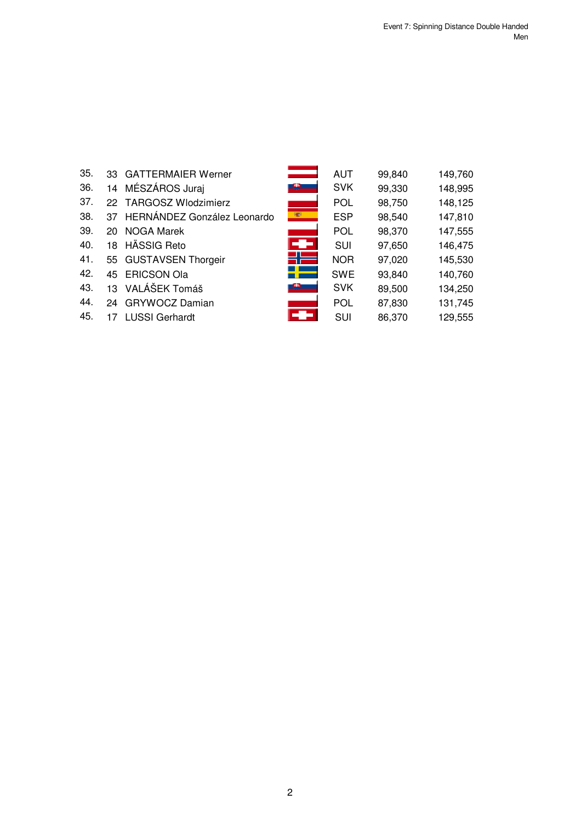| 35. |    | 33 GATTERMAIER Werner          |    | AUT        | 99,840 | 149,760 |
|-----|----|--------------------------------|----|------------|--------|---------|
| 36. |    | 14 MÉSZÁROS Juraj              |    | <b>SVK</b> | 99,330 | 148,995 |
| 37. |    | 22 TARGOSZ Wlodzimierz         |    | <b>POL</b> | 98,750 | 148,125 |
| 38. |    | 37 HERNÁNDEZ González Leonardo |    | <b>ESP</b> | 98,540 | 147,810 |
| 39. |    | 20 NOGA Marek                  |    | <b>POL</b> | 98,370 | 147,555 |
| 40. |    | 18 HÄSSIG Reto                 | æ. | <b>SUI</b> | 97,650 | 146,475 |
| 41. |    | 55 GUSTAVSEN Thorgeir          |    | <b>NOR</b> | 97,020 | 145,530 |
| 42. |    | 45 ERICSON Ola                 |    | <b>SWE</b> | 93,840 | 140,760 |
| 43. |    | 13 VALÁŠEK Tomáš               |    | <b>SVK</b> | 89,500 | 134,250 |
| 44. |    | 24 GRYWOCZ Damian              |    | <b>POL</b> | 87,830 | 131,745 |
| 45. | 17 | <b>LUSSI Gerhardt</b>          |    | <b>SUI</b> | 86,370 | 129,555 |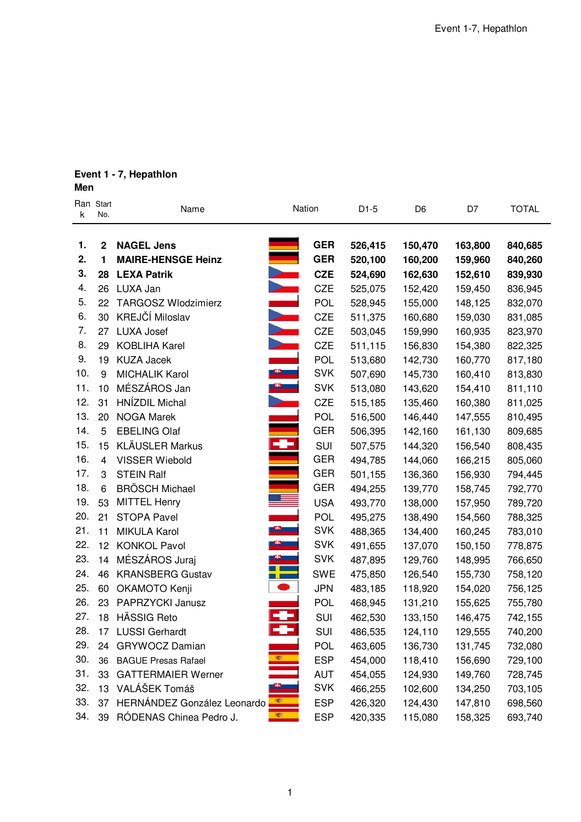# **Event 1 - 7, Hepathlon**

**Men**

| k   | Ran Start<br>No. | Name                        | Nation                     | $D1-5$  | D <sub>6</sub> | D7      | <b>TOTAL</b> |
|-----|------------------|-----------------------------|----------------------------|---------|----------------|---------|--------------|
| 1.  | $\mathbf{2}$     | <b>NAGEL Jens</b>           | <b>GER</b>                 | 526,415 | 150,470        | 163,800 | 840,685      |
| 2.  | $\blacksquare$   | <b>MAIRE-HENSGE Heinz</b>   | <b>GER</b>                 | 520,100 | 160,200        | 159,960 | 840,260      |
| 3.  | 28               | <b>LEXA Patrik</b>          | <b>CZE</b>                 | 524,690 | 162,630        | 152,610 | 839,930      |
| 4.  | 26               | LUXA Jan                    | <b>CZE</b>                 | 525,075 | 152,420        | 159,450 | 836,945      |
| 5.  | 22               | <b>TARGOSZ Wlodzimierz</b>  | POL                        | 528,945 | 155,000        | 148,125 | 832,070      |
| 6.  | 30               | KREJČÍ Miloslav             | <b>CZE</b>                 | 511,375 | 160,680        | 159,030 | 831,085      |
| 7.  | 27               | LUXA Josef                  | <b>CZE</b>                 | 503,045 | 159,990        | 160,935 | 823,970      |
| 8.  | 29               | <b>KOBLIHA Karel</b>        | <b>CZE</b>                 | 511,115 | 156,830        | 154,380 | 822,325      |
| 9.  | 19               | <b>KUZA Jacek</b>           | <b>POL</b>                 | 513,680 | 142,730        | 160,770 | 817,180      |
| 10. | 9                | <b>MICHALIK Karol</b>       | $\bullet$<br><b>SVK</b>    | 507,690 | 145,730        | 160,410 | 813,830      |
| 11. | 10               | MÉSZÁROS Jan                | <b>SVK</b>                 | 513,080 | 143,620        | 154,410 | 811,110      |
| 12. | 31               | <b>HNÍZDIL Michal</b>       | <b>CZE</b>                 | 515,185 | 135,460        | 160,380 | 811,025      |
| 13. | 20               | <b>NOGA Marek</b>           | <b>POL</b>                 | 516,500 | 146,440        | 147,555 | 810,495      |
| 14. | 5                | <b>EBELING Olaf</b>         | <b>GER</b>                 | 506,395 | 142,160        | 161,130 | 809,685      |
| 15. | 15               | <b>KLÄUSLER Markus</b>      | æ<br>SUI                   | 507,575 | 144,320        | 156,540 | 808,435      |
| 16. | $\overline{4}$   | <b>VISSER Wiebold</b>       | <b>GER</b>                 | 494,785 | 144,060        | 166,215 | 805,060      |
| 17. | 3                | <b>STEIN Ralf</b>           | <b>GER</b>                 | 501,155 | 136,360        | 156,930 | 794,445      |
| 18. | 6                | <b>BRÖSCH Michael</b>       | <b>GER</b>                 | 494,255 | 139,770        | 158,745 | 792,770      |
| 19. | 53               | <b>MITTEL Henry</b>         | <b>USA</b>                 | 493,770 | 138,000        | 157,950 | 789,720      |
| 20. | 21               | <b>STOPA Pavel</b>          | <b>POL</b>                 | 495,275 | 138,490        | 154,560 | 788,325      |
| 21. | 11               | <b>MIKULA Karol</b>         | $\mathbf{e}$<br><b>SVK</b> | 488,365 | 134,400        | 160,245 | 783,010      |
| 22. | 12 <sup>2</sup>  | <b>KONKOL Pavol</b>         | <b>SVK</b>                 | 491,655 | 137,070        | 150,150 | 778,875      |
| 23. | 14               | MÉSZÁROS Juraj              | <b>SVK</b>                 | 487,895 | 129,760        | 148,995 | 766,650      |
| 24. | 46               | <b>KRANSBERG Gustav</b>     | <b>SWE</b>                 | 475,850 | 126,540        | 155,730 | 758,120      |
| 25. | 60               | OKAMOTO Kenji               | <b>JPN</b>                 | 483,185 | 118,920        | 154,020 | 756,125      |
| 26. | 23               | PAPRZYCKI Janusz            | <b>POL</b>                 | 468,945 | 131,210        | 155,625 | 755,780      |
| 27. | 18               | HÄSSIG Reto                 | SUI                        | 462,530 | 133,150        | 146,475 | 742,155      |
| 28. | 17               | <b>LUSSI Gerhardt</b>       | ÷<br>SUI                   | 486,535 | 124,110        | 129,555 | 740,200      |
| 29. |                  | 24 GRYWOCZ Damian           | <b>POL</b>                 | 463,605 | 136,730        | 131,745 | 732,080      |
| 30. | 36               | <b>BAGUE Presas Rafael</b>  | <b>ESP</b>                 | 454,000 | 118,410        | 156,690 | 729,100      |
| 31. | 33               | <b>GATTERMAIER Werner</b>   | <b>AUT</b>                 | 454,055 | 124,930        | 149,760 | 728,745      |
| 32. | 13               | VALÁŠEK Tomáš               | <b>SVK</b>                 | 466,255 | 102,600        | 134,250 | 703,105      |
| 33. | 37               | HERNÁNDEZ González Leonardo | S<br><b>ESP</b>            | 426,320 | 124,430        | 147,810 | 698,560      |
| 34. | 39               | RÓDENAS Chinea Pedro J.     | <b>K</b><br><b>ESP</b>     | 420,335 | 115,080        | 158,325 | 693,740      |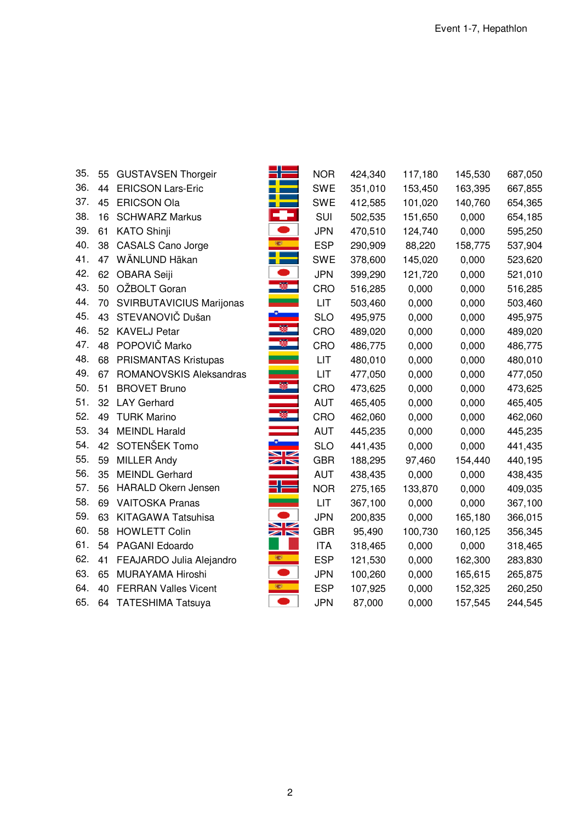| 35. | 55              | <b>GUSTAVSEN Thorgeir</b>   | תר                          | <b>NOR</b> | 424,340 | 117,180 | 145,530 | 687,050 |
|-----|-----------------|-----------------------------|-----------------------------|------------|---------|---------|---------|---------|
| 36. | 44              | <b>ERICSON Lars-Eric</b>    |                             | <b>SWE</b> | 351,010 | 153,450 | 163,395 | 667,855 |
| 37. | 45              | <b>ERICSON Ola</b>          |                             | <b>SWE</b> | 412,585 | 101,020 | 140,760 | 654,365 |
| 38. | 16              | <b>SCHWARZ Markus</b>       |                             | SUI        | 502,535 | 151,650 | 0,000   | 654,185 |
| 39. | 61              | <b>KATO Shinji</b>          |                             | <b>JPN</b> | 470,510 | 124,740 | 0,000   | 595,250 |
| 40. | 38              | <b>CASALS Cano Jorge</b>    | 編                           | <b>ESP</b> | 290,909 | 88,220  | 158,775 | 537,904 |
| 41. | 47              | WÄNLUND Häkan               |                             | <b>SWE</b> | 378,600 | 145,020 | 0,000   | 523,620 |
| 42. | 62              | OBARA Seiji                 |                             | <b>JPN</b> | 399,290 | 121,720 | 0,000   | 521,010 |
| 43. | 50              | OŽBOLT Goran                |                             | CRO        | 516,285 | 0,000   | 0,000   | 516,285 |
| 44. | 70              | SVIRBUTAVICIUS Marijonas    |                             | LIT        | 503,460 | 0,000   | 0,000   | 503,460 |
| 45. | 43              | STEVANOVIČ Dušan            |                             | <b>SLO</b> | 495,975 | 0,000   | 0,000   | 495,975 |
| 46. | 52 <sub>2</sub> | <b>KAVELJ Petar</b>         | ø                           | CRO        | 489,020 | 0,000   | 0,000   | 489,020 |
| 47. | 48              | POPOVIČ Marko               | 羅                           | CRO        | 486,775 | 0,000   | 0,000   | 486,775 |
| 48. | 68              | PRISMANTAS Kristupas        |                             | LIT        | 480,010 | 0,000   | 0,000   | 480,010 |
| 49. | 67              | ROMANOVSKIS Aleksandras     |                             | LIT        | 477,050 | 0,000   | 0,000   | 477,050 |
| 50. | 51              | <b>BROVET Bruno</b>         |                             | CRO        | 473,625 | 0,000   | 0,000   | 473,625 |
| 51. | 32              | <b>LAY Gerhard</b>          |                             | <b>AUT</b> | 465,405 | 0,000   | 0,000   | 465,405 |
| 52. | 49              | <b>TURK Marino</b>          |                             | CRO        | 462,060 | 0,000   | 0,000   | 462,060 |
| 53. | 34              | <b>MEINDL Harald</b>        |                             | <b>AUT</b> | 445,235 | 0,000   | 0,000   | 445,235 |
| 54. | 42              | SOTENŠEK Tomo               | $\blacksquare$              | <b>SLO</b> | 441,435 | 0,000   | 0,000   | 441,435 |
| 55. | 59              | <b>MILLER Andy</b>          | $\mathbb{Z}$                | <b>GBR</b> | 188,295 | 97,460  | 154,440 | 440,195 |
| 56. | 35              | <b>MEINDL Gerhard</b>       |                             | <b>AUT</b> | 438,435 | 0,000   | 0,000   | 438,435 |
| 57. | 56              | <b>HARALD Okern Jensen</b>  | ז ר                         | <b>NOR</b> | 275,165 | 133,870 | 0,000   | 409,035 |
| 58. | 69              | <b>VAITOSKA Pranas</b>      |                             | LIT        | 367,100 | 0,000   | 0,000   | 367,100 |
| 59. | 63              | <b>KITAGAWA Tatsuhisa</b>   |                             | <b>JPN</b> | 200,835 | 0,000   | 165,180 | 366,015 |
| 60. | 58              | <b>HOWLETT Colin</b>        | ↘∠<br>$\blacktriangleright$ | <b>GBR</b> | 95,490  | 100,730 | 160,125 | 356,345 |
| 61. | 54              | PAGANI Edoardo              |                             | <b>ITA</b> | 318,465 | 0,000   | 0,000   | 318,465 |
| 62. | 41              | FEAJARDO Julia Alejandro    | O                           | <b>ESP</b> | 121,530 | 0,000   | 162,300 | 283,830 |
| 63. | 65              | MURAYAMA Hiroshi            |                             | <b>JPN</b> | 100,260 | 0,000   | 165,615 | 265,875 |
| 64. | 40              | <b>FERRAN Valles Vicent</b> | 欖                           | <b>ESP</b> | 107,925 | 0,000   | 152,325 | 260,250 |
| 65. | 64              | <b>TATESHIMA Tatsuya</b>    |                             | <b>JPN</b> | 87,000  | 0,000   | 157,545 | 244,545 |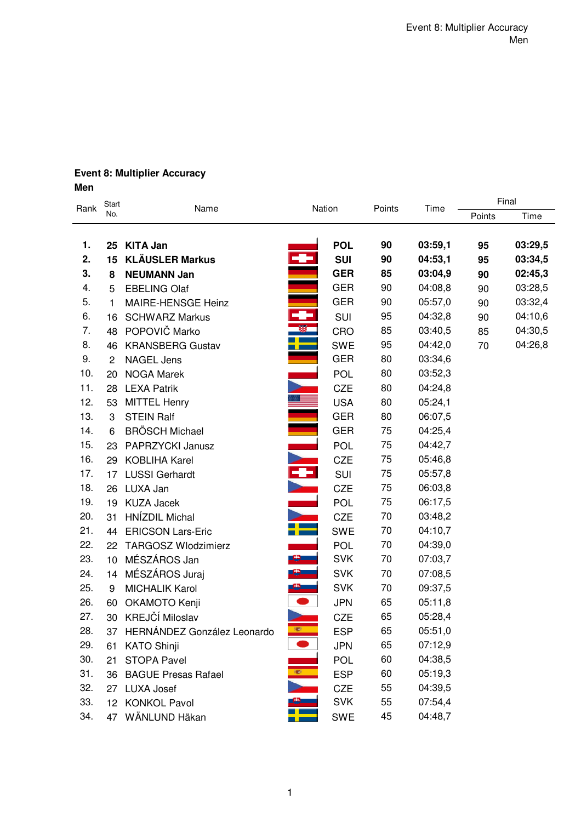# **Event 8: Multiplier Accuracy Men**

| Rank | Start          | Name                        | Nation      |            | Points | Time    | Final  |         |  |
|------|----------------|-----------------------------|-------------|------------|--------|---------|--------|---------|--|
|      | No.            |                             |             |            |        |         | Points | Time    |  |
|      |                |                             |             |            |        |         |        |         |  |
| 1.   | 25             | <b>KITA Jan</b>             |             | <b>POL</b> | 90     | 03:59,1 | 95     | 03:29,5 |  |
| 2.   | 15             | <b>KLÄUSLER Markus</b>      |             | <b>SUI</b> | 90     | 04:53,1 | 95     | 03:34,5 |  |
| 3.   | 8              | <b>NEUMANN Jan</b>          |             | <b>GER</b> | 85     | 03:04,9 | 90     | 02:45,3 |  |
| 4.   | 5              | <b>EBELING Olaf</b>         |             | <b>GER</b> | 90     | 04:08,8 | 90     | 03:28,5 |  |
| 5.   | 1              | MAIRE-HENSGE Heinz          |             | <b>GER</b> | 90     | 05:57,0 | 90     | 03:32,4 |  |
| 6.   | 16             | <b>SCHWARZ Markus</b>       | ÷           | SUI        | 95     | 04:32,8 | 90     | 04:10,6 |  |
| 7.   | 48             | POPOVIČ Marko               | B           | CRO        | 85     | 03:40,5 | 85     | 04:30,5 |  |
| 8.   | 46             | <b>KRANSBERG Gustav</b>     | F           | <b>SWE</b> | 95     | 04:42,0 | 70     | 04:26,8 |  |
| 9.   | $\overline{c}$ | <b>NAGEL Jens</b>           |             | <b>GER</b> | 80     | 03:34,6 |        |         |  |
| 10.  | 20             | <b>NOGA Marek</b>           |             | <b>POL</b> | 80     | 03:52,3 |        |         |  |
| 11.  | 28             | <b>LEXA Patrik</b>          |             | <b>CZE</b> | 80     | 04:24,8 |        |         |  |
| 12.  | 53             | <b>MITTEL Henry</b>         |             | <b>USA</b> | 80     | 05:24,1 |        |         |  |
| 13.  | 3              | <b>STEIN Ralf</b>           |             | <b>GER</b> | 80     | 06:07,5 |        |         |  |
| 14.  | 6              | <b>BRÖSCH Michael</b>       |             | <b>GER</b> | 75     | 04:25,4 |        |         |  |
| 15.  | 23             | PAPRZYCKI Janusz            |             | <b>POL</b> | 75     | 04:42,7 |        |         |  |
| 16.  | 29             | <b>KOBLIHA Karel</b>        | <b>A.L.</b> | <b>CZE</b> | 75     | 05:46,8 |        |         |  |
| 17.  | 17             | <b>LUSSI Gerhardt</b>       | Ŧ           | SUI        | 75     | 05:57,8 |        |         |  |
| 18.  | 26             | LUXA Jan                    |             | <b>CZE</b> | 75     | 06:03,8 |        |         |  |
| 19.  | 19             | <b>KUZA Jacek</b>           |             | <b>POL</b> | 75     | 06:17,5 |        |         |  |
| 20.  | 31             | HNÍZDIL Michal              |             | <b>CZE</b> | 70     | 03:48,2 |        |         |  |
| 21.  | 44             | <b>ERICSON Lars-Eric</b>    |             | <b>SWE</b> | 70     | 04:10,7 |        |         |  |
| 22.  | 22             | <b>TARGOSZ Wlodzimierz</b>  |             | <b>POL</b> | 70     | 04:39,0 |        |         |  |
| 23.  | 10             | MÉSZÁROS Jan                | <u>e </u>   | <b>SVK</b> | 70     | 07:03,7 |        |         |  |
| 24.  | 14             | MÉSZÁROS Juraj              |             | <b>SVK</b> | 70     | 07:08,5 |        |         |  |
| 25.  | 9              | <b>MICHALIK Karol</b>       |             | <b>SVK</b> | 70     | 09:37,5 |        |         |  |
| 26.  | 60             | OKAMOTO Kenji               |             | <b>JPN</b> | 65     | 05:11,8 |        |         |  |
| 27.  | 30             | KREJČÍ Miloslav             |             | <b>CZE</b> | 65     | 05:28,4 |        |         |  |
| 28.  | 37             | HERNÁNDEZ González Leonardo | 覆           | <b>ESP</b> | 65     | 05:51,0 |        |         |  |
| 29.  |                | 61 KATO Shinji              |             | <b>JPN</b> | 65     | 07:12,9 |        |         |  |
| 30.  | 21             | <b>STOPA Pavel</b>          |             | POL        | 60     | 04:38,5 |        |         |  |
| 31.  | 36             | <b>BAGUE Presas Rafael</b>  |             | <b>ESP</b> | 60     | 05:19,3 |        |         |  |
| 32.  |                | 27 LUXA Josef               |             | CZE        | 55     | 04:39,5 |        |         |  |
| 33.  |                | 12 KONKOL Pavol             |             | <b>SVK</b> | 55     | 07:54,4 |        |         |  |
| 34.  |                | 47 WÄNLUND Häkan            |             | <b>SWE</b> | 45     | 04:48,7 |        |         |  |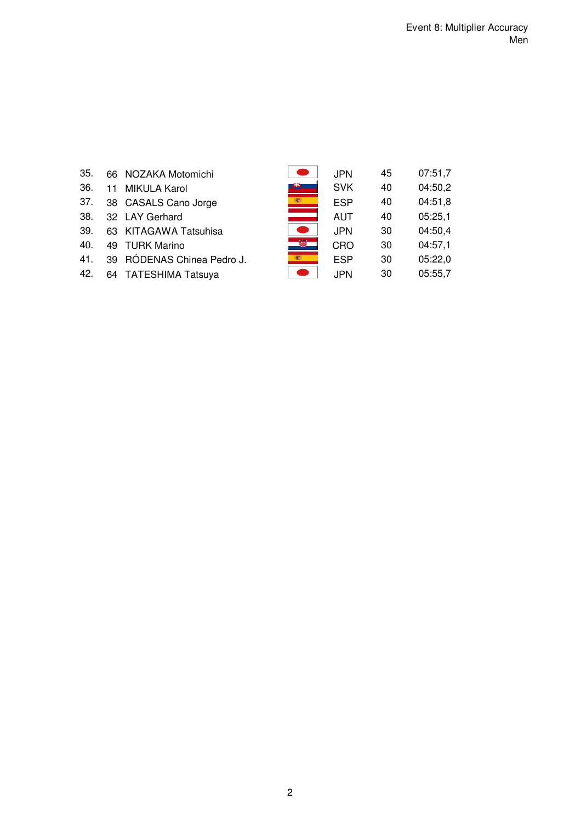| 35. |  |  | 66 NOZAKA Motomichi |
|-----|--|--|---------------------|
|-----|--|--|---------------------|

- 36. 11 MIKULA Karol
- 37. 38 CASALS Cano Jorge
- 38. 32 LAY Gerhard
- 39. 63 KITAGAWA Tatsuhisa
- 40. 49 TURK Marino
- 41. 39 RÓDENAS Chinea Pedro J.
- 42. 64 TATESHIMA Tatsuya

| 35. | 66 NOZAKA Motomichi        |   | JPN.       | 45 | 07:51,7 |
|-----|----------------------------|---|------------|----|---------|
| 36. | 11 MIKULA Karol            |   | <b>SVK</b> | 40 | 04:50,2 |
| 37. | 38 CASALS Cano Jorge       |   | <b>ESP</b> | 40 | 04:51,8 |
| 38. | 32 LAY Gerhard             |   | AUT        | 40 | 05:25,1 |
| 39. | 63 KITAGAWA Tatsuhisa      |   | <b>JPN</b> | 30 | 04:50,4 |
| 40. | 49 TURK Marino             | 籎 | CRO        | 30 | 04:57,1 |
| 41. | 39 RÓDENAS Chinea Pedro J. |   | <b>ESP</b> | 30 | 05:22,0 |
| 42. | 64 TATESHIMA Tatsuya       |   | JPN.       | 30 | 05:55.7 |
|     |                            |   |            |    |         |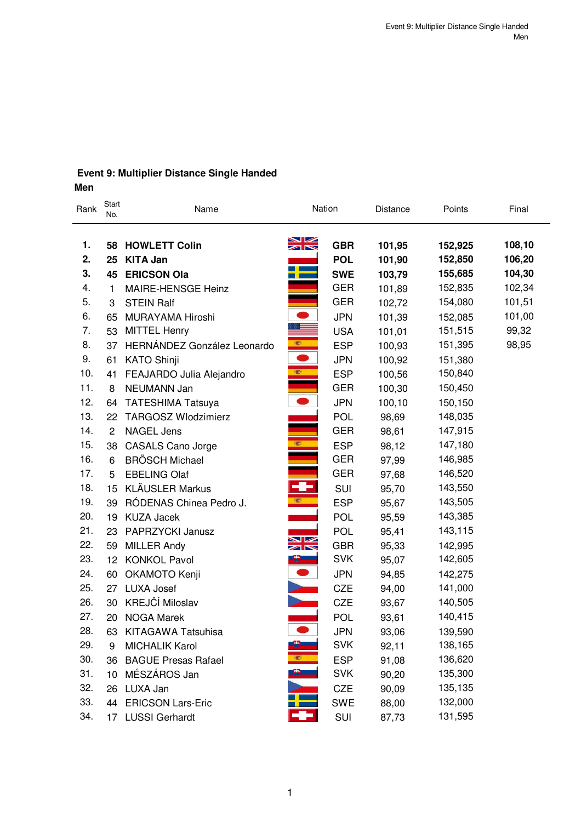#### **Event 9: Multiplier Distance Single Handed Men**

| men |  |
|-----|--|
|     |  |

| Rank | Start<br>No.   | Name                        | Nation                                        |            | Distance | Points  | Final  |
|------|----------------|-----------------------------|-----------------------------------------------|------------|----------|---------|--------|
| 1.   |                | 58 HOWLETT Colin            | $\frac{\sum_{k=1}^{n}x_k}{\sum_{k=1}^{n}x_k}$ | <b>GBR</b> | 101,95   | 152,925 | 108,10 |
| 2.   | 25             | <b>KITA Jan</b>             |                                               | <b>POL</b> | 101,90   | 152,850 | 106,20 |
| 3.   |                | 45 ERICSON Ola              |                                               | <b>SWE</b> | 103,79   | 155,685 | 104,30 |
| 4.   | 1              | MAIRE-HENSGE Heinz          |                                               | <b>GER</b> | 101,89   | 152,835 | 102,34 |
| 5.   | 3              | <b>STEIN Ralf</b>           |                                               | <b>GER</b> | 102,72   | 154,080 | 101,51 |
| 6.   | 65             | MURAYAMA Hiroshi            |                                               | <b>JPN</b> | 101,39   | 152,085 | 101,00 |
| 7.   | 53             | <b>MITTEL Henry</b>         |                                               | <b>USA</b> | 101,01   | 151,515 | 99,32  |
| 8.   | 37             | HERNÁNDEZ González Leonardo | 樂                                             | <b>ESP</b> | 100,93   | 151,395 | 98,95  |
| 9.   | 61             | <b>KATO Shinji</b>          | $\bullet$                                     | <b>JPN</b> | 100,92   | 151,380 |        |
| 10.  | 41             | FEAJARDO Julia Alejandro    | 樂                                             | <b>ESP</b> | 100,56   | 150,840 |        |
| 11.  | 8              | NEUMANN Jan                 |                                               | <b>GER</b> | 100,30   | 150,450 |        |
| 12.  | 64             | <b>TATESHIMA Tatsuya</b>    | $\bullet$                                     | <b>JPN</b> | 100,10   | 150,150 |        |
| 13.  | 22             | <b>TARGOSZ Wlodzimierz</b>  |                                               | <b>POL</b> | 98,69    | 148,035 |        |
| 14.  | $\overline{2}$ | <b>NAGEL Jens</b>           |                                               | <b>GER</b> | 98,61    | 147,915 |        |
| 15.  | 38             | <b>CASALS Cano Jorge</b>    | <b>SEP</b>                                    | <b>ESP</b> | 98,12    | 147,180 |        |
| 16.  | 6              | <b>BRÖSCH Michael</b>       |                                               | <b>GER</b> | 97,99    | 146,985 |        |
| 17.  | 5              | <b>EBELING Olaf</b>         |                                               | <b>GER</b> | 97,68    | 146,520 |        |
| 18.  | 15             | <b>KLÄUSLER Markus</b>      | ÷                                             | <b>SUI</b> | 95,70    | 143,550 |        |
| 19.  | 39             | RÓDENAS Chinea Pedro J.     | <b>SEP</b>                                    | <b>ESP</b> | 95,67    | 143,505 |        |
| 20.  | 19             | <b>KUZA Jacek</b>           |                                               | <b>POL</b> | 95,59    | 143,385 |        |
| 21.  | 23             | PAPRZYCKI Janusz            | ↘∠                                            | <b>POL</b> | 95,41    | 143,115 |        |
| 22.  | 59             | <b>MILLER Andy</b>          | $\blacksquare$                                | <b>GBR</b> | 95,33    | 142,995 |        |
| 23.  |                | 12 KONKOL Pavol             | <u> 2 – 1</u>                                 | <b>SVK</b> | 95,07    | 142,605 |        |
| 24.  | 60             | OKAMOTO Kenji               | $\bullet$                                     | <b>JPN</b> | 94,85    | 142,275 |        |
| 25.  | 27             | <b>LUXA Josef</b>           |                                               | <b>CZE</b> | 94,00    | 141,000 |        |
| 26.  | 30             | KREJČÍ Miloslav             |                                               | <b>CZE</b> | 93,67    | 140,505 |        |
| 27.  |                | 20 NOGA Marek               |                                               | <b>POL</b> | 93,61    | 140,415 |        |
| 28.  | 63             | <b>KITAGAWA Tatsuhisa</b>   |                                               | <b>JPN</b> | 93,06    | 139,590 |        |
| 29.  | 9              | <b>MICHALIK Karol</b>       | -9-                                           | <b>SVK</b> | 92,11    | 138,165 |        |
| 30.  | 36             | <b>BAGUE Presas Rafael</b>  | œ,                                            | <b>ESP</b> | 91,08    | 136,620 |        |
| 31.  | 10             | MÉSZÁROS Jan                | 8.                                            | <b>SVK</b> | 90,20    | 135,300 |        |
| 32.  | 26             | LUXA Jan                    |                                               | CZE        | 90,09    | 135,135 |        |
| 33.  | 44             | <b>ERICSON Lars-Eric</b>    |                                               | <b>SWE</b> | 88,00    | 132,000 |        |
| 34.  | 17             | <b>LUSSI Gerhardt</b>       |                                               | SUI        | 87,73    | 131,595 |        |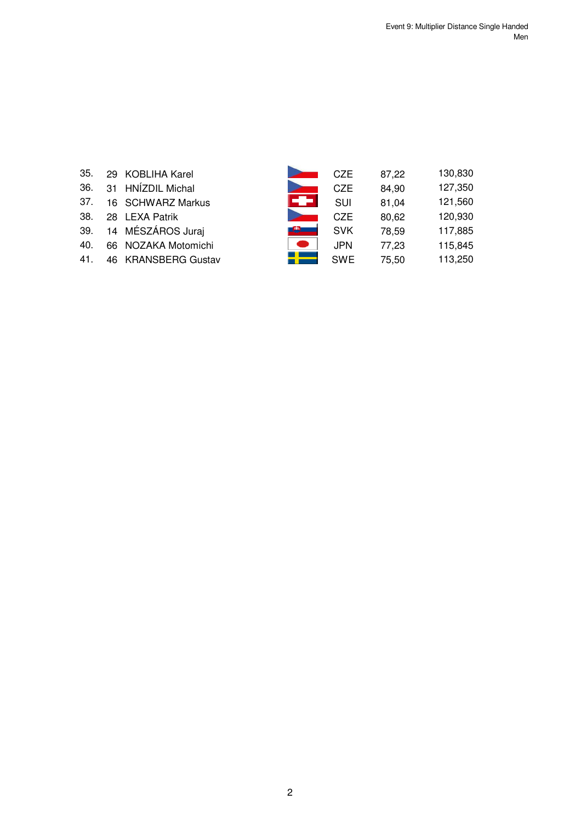| 35.  | 29 KOBLIHA Karel  |
|------|-------------------|
| 36.  | 31 HNÍZDIL Michal |
| 37.  | 16 SCHWARZ Markus |
| 38.  | 28 LEXA Patrik    |
| 39 M | 14 MÉSZÁROS Jurai |

- 40. 66 NOZAKA Motomichi
- 39. 14 MÉSZÁROS Juraj<br>40. 66 NOZAKA Motomichi<br>41. 46 KRANSBERG Gustav 41. 46 KRANSBERG Gustav

| 35. | 29 KOBLIHA Karel    |      | C <sub>7</sub> F | 87,22 | 130,830 |
|-----|---------------------|------|------------------|-------|---------|
| 36. | 31 HNÍZDIL Michal   |      | <b>CZE</b>       | 84,90 | 127,350 |
| 37. | 16 SCHWARZ Markus   | I-e- | <b>SUI</b>       | 81.04 | 121,560 |
| 38. | 28 LEXA Patrik      |      | C <sub>7</sub> F | 80,62 | 120,930 |
| 39. | 14 MÉSZÁROS Juraj   |      | <b>SVK</b>       | 78.59 | 117,885 |
| 40. | 66 NOZAKA Motomichi |      | <b>JPN</b>       | 77.23 | 115,845 |
| 41. | 46 KRANSBERG Gustav |      | <b>SWE</b>       | 75.50 | 113,250 |
|     |                     |      |                  |       |         |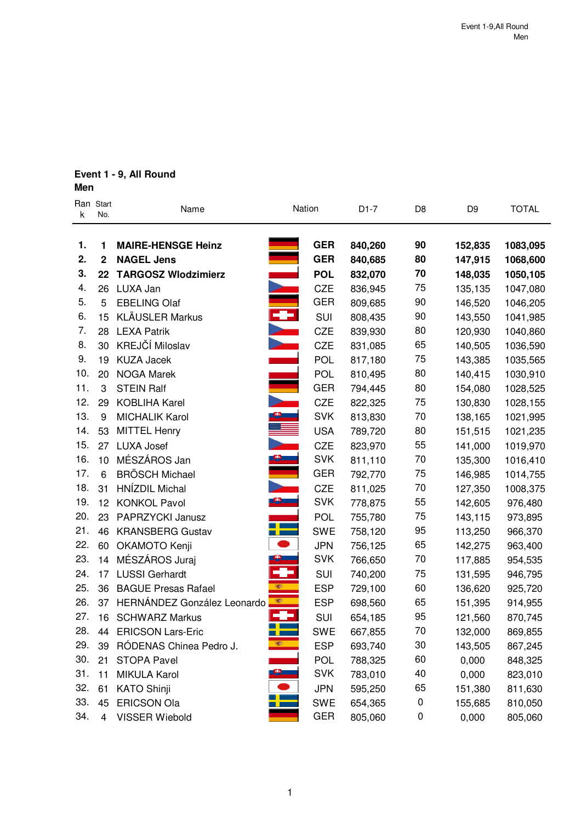# **Event 1 - 9, All Round**

# **Men**

| k   | Ran Start<br>No. | Name                        | Nation                                  | $D1-7$  | D <sub>8</sub> | D <sub>9</sub> | <b>TOTAL</b> |
|-----|------------------|-----------------------------|-----------------------------------------|---------|----------------|----------------|--------------|
| 1.  | 1                | <b>MAIRE-HENSGE Heinz</b>   | <b>GER</b>                              | 840,260 | 90             | 152,835        | 1083,095     |
| 2.  | $\overline{2}$   | <b>NAGEL Jens</b>           | <b>GER</b>                              | 840,685 | 80             | 147,915        | 1068,600     |
| 3.  | 22               | <b>TARGOSZ Wlodzimierz</b>  | <b>POL</b>                              | 832,070 | 70             | 148,035        | 1050,105     |
| 4.  | 26               | LUXA Jan                    | <b>CZE</b>                              | 836,945 | 75             | 135,135        | 1047,080     |
| 5.  | 5                | <b>EBELING Olaf</b>         | <b>GER</b>                              | 809,685 | 90             | 146,520        | 1046,205     |
| 6.  | 15               | <b>KLÄUSLER Markus</b>      | Ξ<br>SUI                                | 808,435 | 90             | 143,550        | 1041,985     |
| 7.  | 28               | <b>LEXA Patrik</b>          | <b>CZE</b>                              | 839,930 | 80             | 120,930        | 1040,860     |
| 8.  | 30               | KREJČÍ Miloslav             | <b>CZE</b>                              | 831,085 | 65             | 140,505        | 1036,590     |
| 9.  | 19               | <b>KUZA Jacek</b>           | <b>POL</b>                              | 817,180 | 75             | 143,385        | 1035,565     |
| 10. | 20               | <b>NOGA Marek</b>           | <b>POL</b>                              | 810,495 | 80             | 140,415        | 1030,910     |
| 11. | 3                | <b>STEIN Ralf</b>           | <b>GER</b>                              | 794,445 | 80             | 154,080        | 1028,525     |
| 12. | 29               | <b>KOBLIHA Karel</b>        | CZE                                     | 822,325 | 75             | 130,830        | 1028,155     |
| 13. | 9                | <b>MICHALIK Karol</b>       | <b>SVK</b>                              | 813,830 | 70             | 138,165        | 1021,995     |
| 14. | 53               | <b>MITTEL Henry</b>         | <b>USA</b>                              | 789,720 | 80             | 151,515        | 1021,235     |
| 15. | 27               | <b>LUXA Josef</b>           | CZE                                     | 823,970 | 55             | 141,000        | 1019,970     |
| 16. | 10               | MÉSZÁROS Jan                | <b>SVK</b>                              | 811,110 | 70             | 135,300        | 1016,410     |
| 17. | 6                | <b>BRÖSCH Michael</b>       | <b>GER</b>                              | 792,770 | 75             | 146,985        | 1014,755     |
| 18. | 31               | HNÍZDIL Michal              | <b>CZE</b>                              | 811,025 | 70             | 127,350        | 1008,375     |
| 19. | 12               | <b>KONKOL Pavol</b>         | <b>SVK</b>                              | 778,875 | 55             | 142,605        | 976,480      |
| 20. | 23               | PAPRZYCKI Janusz            | <b>POL</b>                              | 755,780 | 75             | 143,115        | 973,895      |
| 21. | 46               | <b>KRANSBERG Gustav</b>     | <b>SWE</b><br><b>The Contract State</b> | 758,120 | 95             | 113,250        | 966,370      |
| 22. | 60               | OKAMOTO Kenji               | <b>JPN</b>                              | 756,125 | 65             | 142,275        | 963,400      |
| 23. | 14               | MÉSZÁROS Juraj              | 8<br><b>SVK</b>                         | 766,650 | 70             | 117,885        | 954,535      |
| 24. | 17               | <b>LUSSI Gerhardt</b>       | ÷<br>SUI                                | 740,200 | 75             | 131,595        | 946,795      |
| 25. | 36               | <b>BAGUE Presas Rafael</b>  | 欄<br><b>ESP</b>                         | 729,100 | 60             | 136,620        | 925,720      |
| 26. | 37               | HERNÁNDEZ González Leonardo | 膠<br><b>ESP</b>                         | 698,560 | 65             | 151,395        | 914,955      |
| 27. | 16               | <b>SCHWARZ Markus</b>       | SUI                                     | 654,185 | 95             | 121,560        | 870,745      |
| 28. | 44               | <b>ERICSON Lars-Eric</b>    | <b>SWE</b>                              | 667,855 | 70             | 132,000        | 869,855      |
| 29. | 39               | RÓDENAS Chinea Pedro J.     | 覆<br><b>ESP</b>                         | 693,740 | 30             | 143,505        | 867,245      |
| 30. | 21               | <b>STOPA Pavel</b>          | <b>POL</b>                              | 788,325 | 60             | 0,000          | 848,325      |
| 31. | 11               | MIKULA Karol                | <b>SVK</b>                              | 783,010 | 40             | 0,000          | 823,010      |
| 32. | 61               | <b>KATO Shinji</b>          | <b>JPN</b>                              | 595,250 | 65             | 151,380        | 811,630      |
| 33. | 45               | <b>ERICSON Ola</b>          | <b>SWE</b>                              | 654,365 | 0              | 155,685        | 810,050      |
| 34. | 4                | VISSER Wiebold              | GER                                     | 805,060 | 0              | 0,000          | 805,060      |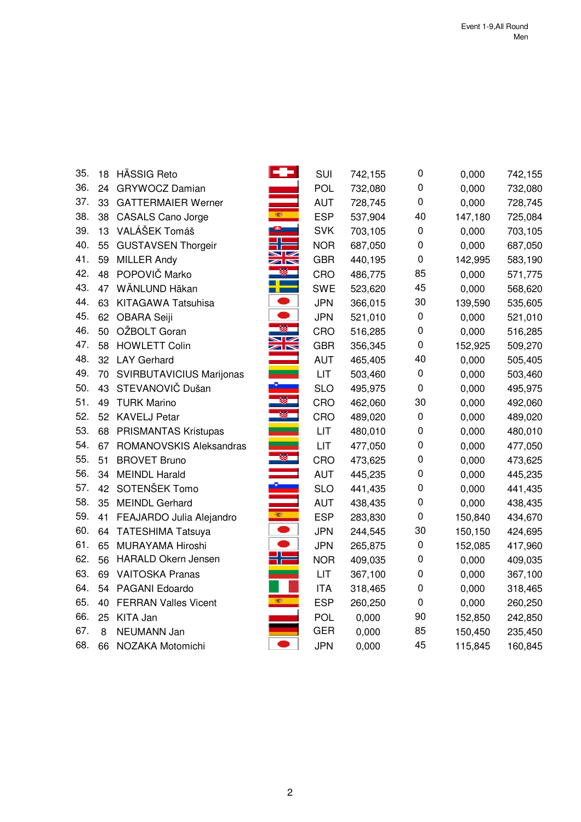| 35. | 18     | <b>HÄSSIG Reto</b>          |                                         | SUI        | 742,155 | 0         | 0,000   | 742,155 |
|-----|--------|-----------------------------|-----------------------------------------|------------|---------|-----------|---------|---------|
| 36. | 24     | GRYWOCZ Damian              |                                         | POL        | 732,080 | 0         | 0,000   | 732,080 |
| 37. | 33     | <b>GATTERMAIER Werner</b>   |                                         | <b>AUT</b> | 728,745 | 0         | 0,000   | 728,745 |
| 38. | 38     | <b>CASALS Cano Jorge</b>    | <b>SECT</b>                             | <b>ESP</b> | 537,904 | 40        | 147,180 | 725,084 |
| 39. |        | 13 VALÁŠEK Tomáš            |                                         | <b>SVK</b> | 703,105 | 0         | 0,000   | 703,105 |
| 40. | 55     | <b>GUSTAVSEN Thorgeir</b>   |                                         | <b>NOR</b> | 687,050 | 0         | 0,000   | 687,050 |
| 41. | 59     | <b>MILLER Andy</b>          | ↗下                                      | <b>GBR</b> | 440,195 | $\pmb{0}$ | 142,995 | 583,190 |
| 42. | 48     | POPOVIČ Marko               |                                         | CRO        | 486,775 | 85        | 0,000   | 571,775 |
| 43. | 47     | WÄNLUND Häkan               |                                         | <b>SWE</b> | 523,620 | 45        | 0,000   | 568,620 |
| 44. | 63     | KITAGAWA Tatsuhisa          |                                         | <b>JPN</b> | 366,015 | 30        | 139,590 | 535,605 |
| 45. |        | 62 OBARA Seiji              |                                         | <b>JPN</b> | 521,010 | $\pmb{0}$ | 0,000   | 521,010 |
| 46. | 50     | OŽBOLT Goran                |                                         | CRO        | 516,285 | 0         | 0,000   | 516,285 |
| 47. | 58     | <b>HOWLETT Colin</b>        | $\blacksquare$<br>$\blacktriangleright$ | <b>GBR</b> | 356,345 | 0         | 152,925 | 509,270 |
| 48. |        | 32 LAY Gerhard              |                                         | <b>AUT</b> | 465,405 | 40        | 0,000   | 505,405 |
| 49. | 70     | SVIRBUTAVICIUS Marijonas    |                                         | <b>LIT</b> | 503,460 | $\pmb{0}$ | 0,000   | 503,460 |
| 50. | 43     | STEVANOVIČ Dušan            |                                         | <b>SLO</b> | 495,975 | $\pmb{0}$ | 0,000   | 495,975 |
| 51. | 49     | <b>TURK Marino</b>          |                                         | CRO        | 462,060 | 30        | 0,000   | 492,060 |
| 52. |        | 52 KAVELJ Petar             |                                         | CRO        | 489,020 | 0         | 0,000   | 489,020 |
| 53. | 68     | <b>PRISMANTAS Kristupas</b> |                                         | LIT        | 480,010 | 0         | 0,000   | 480,010 |
| 54. | 67     | ROMANOVSKIS Aleksandras     |                                         | <b>LIT</b> | 477,050 | 0         | 0,000   | 477,050 |
| 55. | 51     | <b>BROVET Bruno</b>         |                                         | CRO        | 473,625 | 0         | 0,000   | 473,625 |
| 56. | 34     | <b>MEINDL Harald</b>        |                                         | <b>AUT</b> | 445,235 | 0         | 0,000   | 445,235 |
| 57. |        | 42 SOTENŠEK Tomo            |                                         | <b>SLO</b> | 441,435 | 0         | 0,000   | 441,435 |
| 58. | 35     | <b>MEINDL Gerhard</b>       |                                         | <b>AUT</b> | 438,435 | 0         | 0,000   | 438,435 |
| 59. | 41     | FEAJARDO Julia Alejandro    | <b>SEP</b>                              | <b>ESP</b> | 283,830 | $\pmb{0}$ | 150,840 | 434,670 |
| 60. | 64     | <b>TATESHIMA Tatsuya</b>    |                                         | <b>JPN</b> | 244,545 | 30        | 150,150 | 424,695 |
| 61. | 65     | MURAYAMA Hiroshi            |                                         | <b>JPN</b> | 265,875 | $\pmb{0}$ | 152,085 | 417,960 |
| 62. | 56     | <b>HARALD Okern Jensen</b>  |                                         | <b>NOR</b> | 409,035 | 0         | 0,000   | 409,035 |
| 63. | 69     | <b>VAITOSKA Pranas</b>      |                                         | LIT        | 367,100 | 0         | 0,000   | 367,100 |
| 64. |        | 54 PAGANI Edoardo           |                                         | <b>ITA</b> | 318,465 | 0         | 0,000   | 318,465 |
| 65. | 40     | <b>FERRAN Valles Vicent</b> |                                         | <b>ESP</b> | 260,250 | 0         | 0,000   | 260,250 |
| 66. | 25     | KITA Jan                    |                                         | <b>POL</b> | 0,000   | 90        | 152,850 | 242,850 |
| 67. | $\, 8$ | NEUMANN Jan                 |                                         | <b>GER</b> | 0,000   | 85        | 150,450 | 235,450 |
| 68. | 66     | NOZAKA Motomichi            |                                         | <b>JPN</b> | 0,000   | 45        | 115,845 | 160,845 |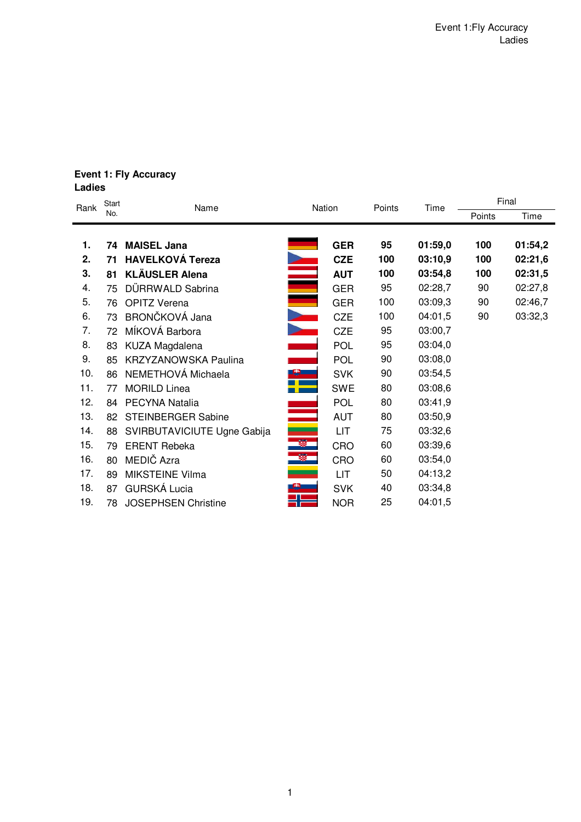### **Event 1: Fly Accuracy Ladies**

| Rank | <b>Start</b> | Name                        | Nation               |            | Points | Time    | Final  |         |  |
|------|--------------|-----------------------------|----------------------|------------|--------|---------|--------|---------|--|
|      | No.          |                             |                      |            |        |         | Points | Time    |  |
|      |              |                             |                      |            |        |         |        |         |  |
| 1.   | 74           | <b>MAISEL Jana</b>          |                      | <b>GER</b> | 95     | 01:59,0 | 100    | 01:54,2 |  |
| 2.   | 71           | <b>HAVELKOVÁ Tereza</b>     |                      | <b>CZE</b> | 100    | 03:10,9 | 100    | 02:21,6 |  |
| 3.   | 81           | <b>KLÄUSLER Alena</b>       | ania<br>1990<br>1990 | <b>AUT</b> | 100    | 03:54,8 | 100    | 02:31,5 |  |
| 4.   | 75           | DÜRRWALD Sabrina            |                      | <b>GER</b> | 95     | 02:28,7 | 90     | 02:27,8 |  |
| 5.   | 76           | <b>OPITZ Verena</b>         |                      | <b>GER</b> | 100    | 03:09,3 | 90     | 02:46,7 |  |
| 6.   | 73           | BRONČKOVÁ Jana              |                      | <b>CZE</b> | 100    | 04:01,5 | 90     | 03:32,3 |  |
| 7.   | 72           | MÍKOVÁ Barbora              |                      | <b>CZE</b> | 95     | 03:00,7 |        |         |  |
| 8.   | 83           | KUZA Magdalena              |                      | <b>POL</b> | 95     | 03:04,0 |        |         |  |
| 9.   | 85           | <b>KRZYZANOWSKA Paulina</b> |                      | <b>POL</b> | 90     | 03:08,0 |        |         |  |
| 10.  | 86           | NEMETHOVÁ Michaela          |                      | <b>SVK</b> | 90     | 03:54,5 |        |         |  |
| 11.  | 77           | <b>MORILD Linea</b>         |                      | <b>SWE</b> | 80     | 03:08,6 |        |         |  |
| 12.  | 84           | PECYNA Natalia              |                      | <b>POL</b> | 80     | 03:41,9 |        |         |  |
| 13.  | 82           | <b>STEINBERGER Sabine</b>   |                      | <b>AUT</b> | 80     | 03:50,9 |        |         |  |
| 14.  | 88           | SVIRBUTAVICIUTE Ugne Gabija |                      | LIT        | 75     | 03:32,6 |        |         |  |
| 15.  | 79           | <b>ERENT Rebeka</b>         | Ø.                   | CRO        | 60     | 03:39,6 |        |         |  |
| 16.  | 80           | MEDIČ Azra                  | 寥                    | CRO        | 60     | 03:54,0 |        |         |  |
| 17.  | 89           | <b>MIKSTEINE Vilma</b>      |                      | LIT        | 50     | 04:13,2 |        |         |  |
| 18.  | 87           | <b>GURSKÁ Lucia</b>         |                      | <b>SVK</b> | 40     | 03:34,8 |        |         |  |
| 19.  | 78           | <b>JOSEPHSEN Christine</b>  |                      | <b>NOR</b> | 25     | 04:01,5 |        |         |  |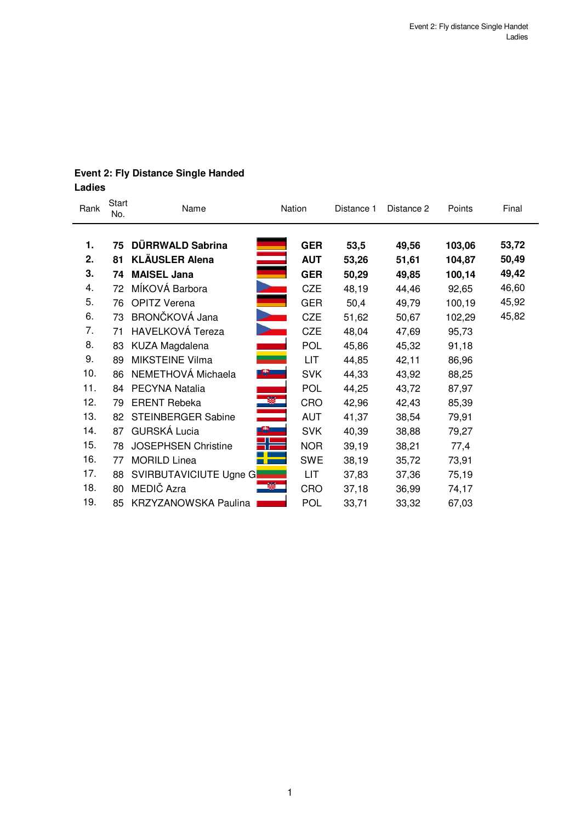| Rank | <b>Start</b><br>No. | Name                        | Nation     | Distance 1 | Distance 2 | Points | Final |
|------|---------------------|-----------------------------|------------|------------|------------|--------|-------|
| 1.   | 75                  | DÜRRWALD Sabrina            | <b>GER</b> | 53,5       | 49,56      | 103,06 | 53,72 |
| 2.   | 81                  | <b>KLÄUSLER Alena</b>       | <b>AUT</b> | 53,26      | 51,61      | 104,87 | 50,49 |
| 3.   | 74                  | ÷,<br><b>MAISEL Jana</b>    | <b>GER</b> | 50,29      | 49,85      | 100,14 | 49,42 |
| 4.   | 72                  | MÍKOVÁ Barbora              | CZE        | 48,19      | 44,46      | 92,65  | 46,60 |
| 5.   | 76                  | <b>OPITZ Verena</b>         | <b>GER</b> | 50,4       | 49,79      | 100,19 | 45,92 |
| 6.   | 73                  | BRONČKOVÁ Jana              | <b>CZE</b> | 51,62      | 50,67      | 102,29 | 45,82 |
| 7.   | 71                  | HAVELKOVÁ Tereza            | <b>CZE</b> | 48,04      | 47,69      | 95,73  |       |
| 8.   | 83                  | KUZA Magdalena              | <b>POL</b> | 45,86      | 45,32      | 91,18  |       |
| 9.   | 89                  | <b>MIKSTEINE Vilma</b>      | LIT.       | 44,85      | 42,11      | 86,96  |       |
| 10.  | 86                  | NEMETHOVÁ Michaela          | <b>SVK</b> | 44,33      | 43,92      | 88,25  |       |
| 11.  | 84                  | PECYNA Natalia              | <b>POL</b> | 44,25      | 43,72      | 87,97  |       |
| 12.  | 79                  | <b>ERENT Rebeka</b>         | S.<br>CRO  | 42,96      | 42,43      | 85,39  |       |
| 13.  | 82                  | <b>STEINBERGER Sabine</b>   | <b>AUT</b> | 41,37      | 38,54      | 79,91  |       |
| 14.  | 87                  | <b>GURSKÁ Lucia</b>         | <b>SVK</b> | 40,39      | 38,88      | 79,27  |       |
| 15.  | 78                  | <b>JOSEPHSEN Christine</b>  | <b>NOR</b> | 39,19      | 38,21      | 77,4   |       |
| 16.  | 77                  | <b>MORILD Linea</b>         | <b>SWE</b> | 38,19      | 35,72      | 73,91  |       |
| 17.  | 88                  | SVIRBUTAVICIUTE Ugne G      | LIT        | 37,83      | 37,36      | 75,19  |       |
| 18.  | 80                  | MEDIČ Azra                  | CRO        | 37,18      | 36,99      | 74,17  |       |
| 19.  | 85                  | <b>KRZYZANOWSKA Paulina</b> | <b>POL</b> | 33,71      | 33,32      | 67,03  |       |

# **Event 2: Fly Distance Single Handed Ladies**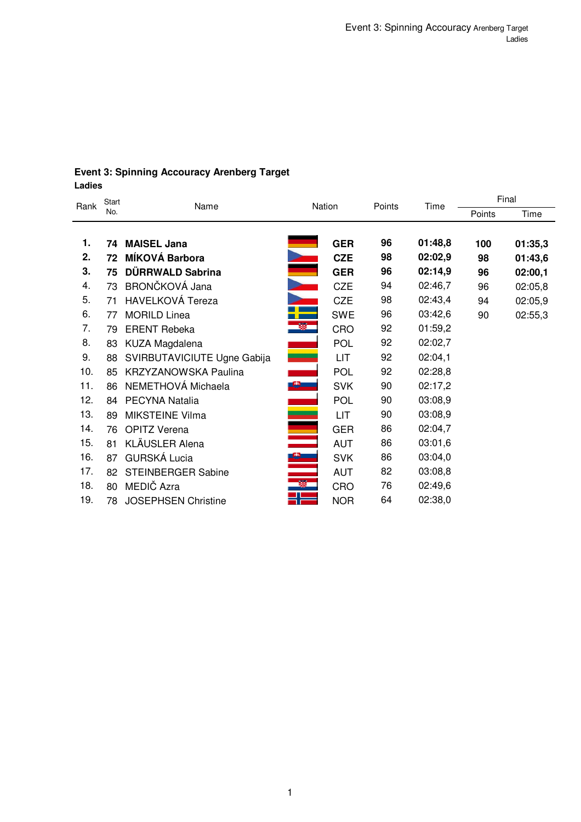# **Event 3: Spinning Accouracy Arenberg Target Ladies**

| Rank | Start | Name                        |    | Nation     |        | Time    | Final  |         |  |
|------|-------|-----------------------------|----|------------|--------|---------|--------|---------|--|
|      | No.   |                             |    |            | Points |         | Points | Time    |  |
| 1.   | 74    | <b>MAISEL Jana</b>          |    | <b>GER</b> | 96     | 01:48,8 | 100    | 01:35,3 |  |
| 2.   | 72    | MÍKOVÁ Barbora              |    | <b>CZE</b> | 98     | 02:02,9 | 98     | 01:43,6 |  |
| 3.   | 75    | DÜRRWALD Sabrina            |    | <b>GER</b> | 96     | 02:14,9 | 96     | 02:00,1 |  |
| 4.   | 73    | BRONČKOVÁ Jana              |    | <b>CZE</b> | 94     | 02:46,7 | 96     | 02:05,8 |  |
| 5.   | 71    | HAVELKOVÁ Tereza            |    | <b>CZE</b> | 98     | 02:43,4 | 94     | 02:05,9 |  |
| 6.   | 77    | <b>MORILD Linea</b>         |    | <b>SWE</b> | 96     | 03:42,6 | 90     | 02:55,3 |  |
| 7.   | 79    | <b>ERENT Rebeka</b>         | 蹘  | CRO        | 92     | 01:59,2 |        |         |  |
| 8.   |       |                             |    |            | 92     | 02:02,7 |        |         |  |
|      | 83    | KUZA Magdalena              |    | <b>POL</b> |        |         |        |         |  |
| 9.   | 88    | SVIRBUTAVICIUTE Ugne Gabija |    | LIT        | 92     | 02:04,1 |        |         |  |
| 10.  | 85    | <b>KRZYZANOWSKA Paulina</b> |    | <b>POL</b> | 92     | 02:28,8 |        |         |  |
| 11.  | 86    | NEMETHOVÁ Michaela          |    | <b>SVK</b> | 90     | 02:17,2 |        |         |  |
| 12.  | 84    | PECYNA Natalia              |    | <b>POL</b> | 90     | 03:08,9 |        |         |  |
| 13.  | 89    | <b>MIKSTEINE Vilma</b>      |    | LIT        | 90     | 03:08,9 |        |         |  |
| 14.  | 76    | <b>OPITZ Verena</b>         |    | <b>GER</b> | 86     | 02:04,7 |        |         |  |
| 15.  | 81    | KLÄUSLER Alena              |    | <b>AUT</b> | 86     | 03:01,6 |        |         |  |
| 16.  | 87    | GURSKÁ Lucia                |    | <b>SVK</b> | 86     | 03:04,0 |        |         |  |
| 17.  | 82    | <b>STEINBERGER Sabine</b>   |    | <b>AUT</b> | 82     | 03:08,8 |        |         |  |
| 18.  | 80    | MEDIČ Azra                  | B. | CRO        | 76     | 02:49,6 |        |         |  |
| 19.  | 78    | <b>JOSEPHSEN Christine</b>  | ╬═ | <b>NOR</b> | 64     | 02:38,0 |        |         |  |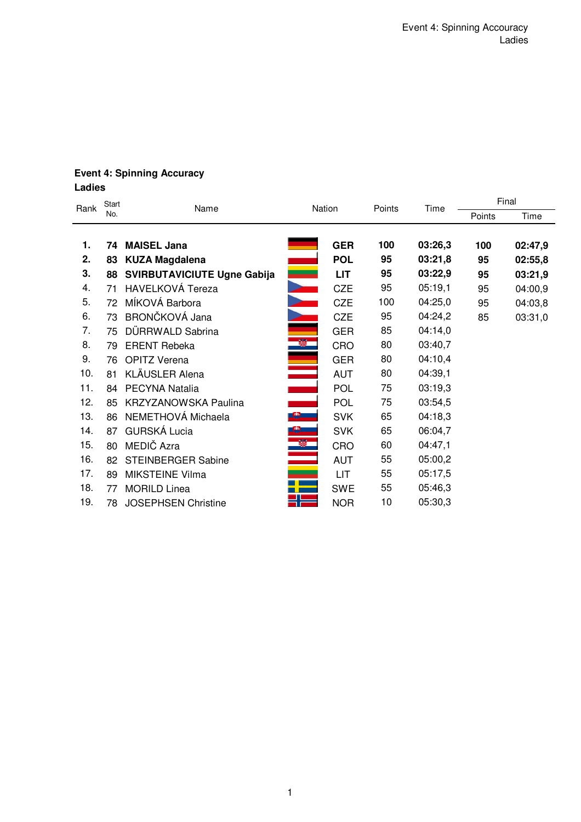# **Event 4: Spinning Accuracy Ladies**

| Rank | Start | Name                               |           | Nation     |        | Time    |        | Final   |
|------|-------|------------------------------------|-----------|------------|--------|---------|--------|---------|
|      | No.   |                                    |           |            | Points |         | Points | Time    |
| 1.   | 74    | <b>MAISEL Jana</b>                 |           | <b>GER</b> | 100    | 03:26,3 | 100    | 02:47,9 |
| 2.   | 83    | <b>KUZA Magdalena</b>              |           | <b>POL</b> | 95     | 03:21,8 | 95     | 02:55,8 |
| 3.   | 88    | <b>SVIRBUTAVICIUTE Ugne Gabija</b> |           | <b>LIT</b> | 95     | 03:22,9 | 95     | 03:21,9 |
| 4.   | 71    | <b>HAVELKOVÁ Tereza</b>            |           | <b>CZE</b> | 95     | 05:19,1 | 95     | 04:00,9 |
| 5.   | 72    | MÍKOVÁ Barbora                     |           | <b>CZE</b> | 100    | 04:25,0 | 95     | 04:03,8 |
| 6.   | 73    | BRONČKOVÁ Jana                     |           | <b>CZE</b> | 95     | 04:24,2 | 85     | 03:31,0 |
| 7.   | 75    | DÜRRWALD Sabrina                   |           | <b>GER</b> | 85     | 04:14,0 |        |         |
| 8.   | 79    | <b>ERENT Rebeka</b>                | ×         | CRO        | 80     | 03:40,7 |        |         |
| 9.   | 76    | <b>OPITZ Verena</b>                |           | <b>GER</b> | 80     | 04:10,4 |        |         |
| 10.  | 81    | KLÄUSLER Alena                     |           | <b>AUT</b> | 80     | 04:39,1 |        |         |
| 11.  | 84    | PECYNA Natalia                     |           | <b>POL</b> | 75     | 03:19,3 |        |         |
| 12.  | 85    | <b>KRZYZANOWSKA Paulina</b>        |           | <b>POL</b> | 75     | 03:54,5 |        |         |
| 13.  | 86    | NEMETHOVÁ Michaela                 | <u>e </u> | <b>SVK</b> | 65     | 04:18,3 |        |         |
| 14.  | 87    | <b>GURSKÁ Lucia</b>                |           | <b>SVK</b> | 65     | 06:04,7 |        |         |
| 15.  | 80    | MEDIČ Azra                         | $\bullet$ | <b>CRO</b> | 60     | 04:47,1 |        |         |
| 16.  | 82    | <b>STEINBERGER Sabine</b>          |           | <b>AUT</b> | 55     | 05:00,2 |        |         |
| 17.  | 89    | <b>MIKSTEINE Vilma</b>             |           | LIT        | 55     | 05:17,5 |        |         |
| 18.  | 77    | <b>MORILD Linea</b>                |           | <b>SWE</b> | 55     | 05:46,3 |        |         |
| 19.  | 78    | <b>JOSEPHSEN Christine</b>         | d١        | <b>NOR</b> | 10     | 05:30,3 |        |         |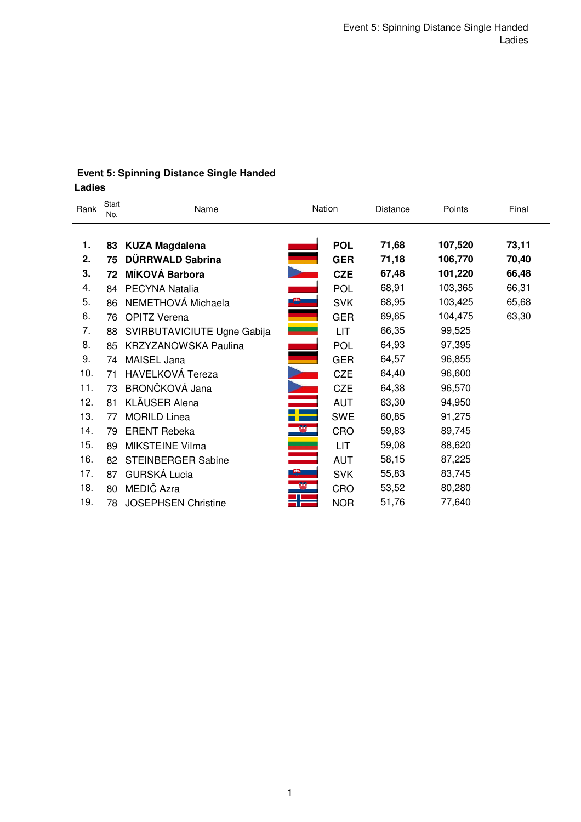# **Event 5: Spinning Distance Single Handed Ladies**

| Rank | Start<br>No. | Name                        | Nation         |            | <b>Distance</b> | Points  | Final |
|------|--------------|-----------------------------|----------------|------------|-----------------|---------|-------|
| 1.   | 83           | <b>KUZA Magdalena</b>       |                | <b>POL</b> | 71,68           | 107,520 | 73,11 |
| 2.   | 75           | DÜRRWALD Sabrina            |                | <b>GER</b> | 71,18           | 106,770 | 70,40 |
| 3.   | 72           | MÍKOVÁ Barbora              |                | <b>CZE</b> | 67,48           | 101,220 | 66,48 |
| 4.   | 84           | PECYNA Natalia              |                | <b>POL</b> | 68,91           | 103,365 | 66,31 |
| 5.   | 86           | NEMETHOVÁ Michaela          |                | <b>SVK</b> | 68,95           | 103,425 | 65,68 |
| 6.   | 76           | <b>OPITZ Verena</b>         |                | <b>GER</b> | 69,65           | 104,475 | 63,30 |
| 7.   | 88           | SVIRBUTAVICIUTE Ugne Gabija |                | LIT        | 66,35           | 99,525  |       |
| 8.   | 85           | <b>KRZYZANOWSKA Paulina</b> |                | <b>POL</b> | 64,93           | 97,395  |       |
| 9.   | 74           | MAISEL Jana                 |                | <b>GER</b> | 64,57           | 96,855  |       |
| 10.  | 71           | <b>HAVELKOVÁ Tereza</b>     |                | <b>CZE</b> | 64,40           | 96,600  |       |
| 11.  | 73           | BRONČKOVÁ Jana              | $\blacksquare$ | <b>CZE</b> | 64,38           | 96,570  |       |
| 12.  | 81           | <b>KLÄUSER Alena</b>        |                | <b>AUT</b> | 63,30           | 94,950  |       |
| 13.  | 77           | <b>MORILD Linea</b>         | Ŧ              | <b>SWE</b> | 60,85           | 91,275  |       |
| 14.  | 79           | <b>ERENT Rebeka</b>         | <b>B</b>       | CRO        | 59,83           | 89,745  |       |
| 15.  | 89           | <b>MIKSTEINE Vilma</b>      |                | <b>LIT</b> | 59,08           | 88,620  |       |
| 16.  | 82           | <b>STEINBERGER Sabine</b>   |                | <b>AUT</b> | 58,15           | 87,225  |       |
| 17.  | 87           | <b>GURSKÁ Lucia</b>         |                | <b>SVK</b> | 55,83           | 83,745  |       |
| 18.  | 80           | MEDIČ Azra                  | Ø.             | CRO        | 53,52           | 80,280  |       |
| 19.  | 78           | <b>JOSEPHSEN Christine</b>  | Æ              | <b>NOR</b> | 51,76           | 77,640  |       |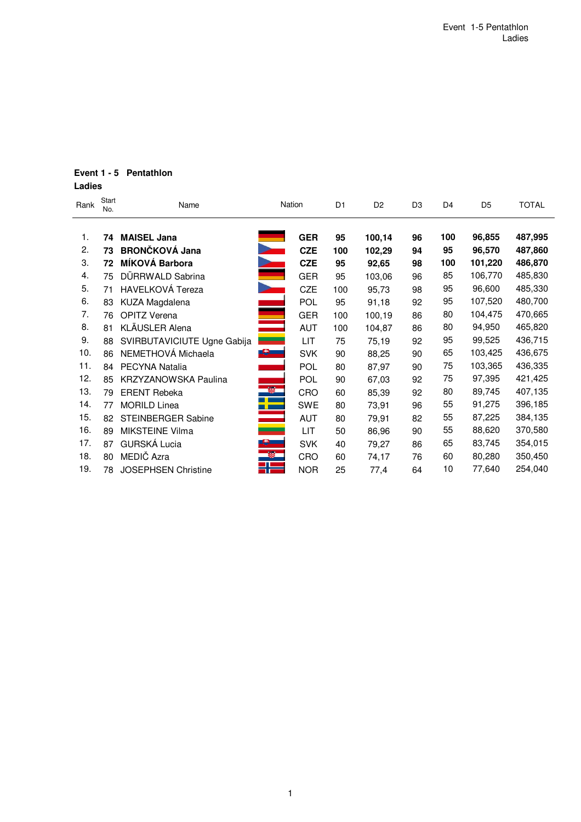# **Event 1 - 5 Pentathlon**

# **Ladies**

| Rank | Start<br>No. | Name                        |                          | Nation     | D <sub>1</sub> | D <sub>2</sub> | D <sub>3</sub> | D <sub>4</sub> | D <sub>5</sub> | <b>TOTAL</b> |
|------|--------------|-----------------------------|--------------------------|------------|----------------|----------------|----------------|----------------|----------------|--------------|
| 1.   | 74           | <b>MAISEL Jana</b>          |                          | <b>GER</b> | 95             | 100,14         | 96             | 100            | 96,855         | 487,995      |
| 2.   | 73           | <b>BRONČKOVÁ Jana</b>       |                          | <b>CZE</b> | 100            | 102,29         | 94             | 95             | 96,570         | 487,860      |
| 3.   | 72           | MÍKOVÁ Barbora              |                          | <b>CZE</b> | 95             | 92,65          | 98             | 100            | 101,220        | 486,870      |
| 4.   | 75           | DÜRRWALD Sabrina            |                          | <b>GER</b> | 95             | 103,06         | 96             | 85             | 106,770        | 485,830      |
| 5.   | 71           | HAVELKOVÁ Tereza            |                          | CZE        | 100            | 95,73          | 98             | 95             | 96,600         | 485,330      |
| 6.   | 83           | KUZA Magdalena              |                          | <b>POL</b> | 95             | 91,18          | 92             | 95             | 107,520        | 480,700      |
| 7.   | 76           | <b>OPITZ Verena</b>         |                          | <b>GER</b> | 100            | 100,19         | 86             | 80             | 104,475        | 470,665      |
| 8.   | 81           | KLÄUSLER Alena              |                          | <b>AUT</b> | 100            | 104,87         | 86             | 80             | 94,950         | 465,820      |
| 9.   | 88           | SVIRBUTAVICIUTE Ugne Gabija |                          | LIT        | 75             | 75,19          | 92             | 95             | 99,525         | 436,715      |
| 10.  | 86           | NEMETHOVÁ Michaela          | <b>B</b>                 | <b>SVK</b> | 90             | 88,25          | 90             | 65             | 103,425        | 436,675      |
| 11.  | 84           | PECYNA Natalia              |                          | <b>POL</b> | 80             | 87,97          | 90             | 75             | 103,365        | 436,335      |
| 12.  | 85           | <b>KRZYZANOWSKA Paulina</b> |                          | <b>POL</b> | 90             | 67,03          | 92             | 75             | 97,395         | 421,425      |
| 13.  | 79           | <b>ERENT Rebeka</b>         | Ø                        | CRO        | 60             | 85,39          | 92             | 80             | 89,745         | 407,135      |
| 14.  | 77           | <b>MORILD Linea</b>         | $\ddot{\phantom{m}}$     | <b>SWE</b> | 80             | 73,91          | 96             | 55             | 91,275         | 396,185      |
| 15.  | 82           | <b>STEINBERGER Sabine</b>   | a a shekara              | <b>AUT</b> | 80             | 79,91          | 82             | 55             | 87,225         | 384,135      |
| 16.  | 89           | <b>MIKSTEINE Vilma</b>      |                          | LIT        | 50             | 86,96          | 90             | 55             | 88,620         | 370,580      |
| 17.  | 87           | <b>GURSKÁ Lucia</b>         | $\mathbf{e}$             | <b>SVK</b> | 40             | 79,27          | 86             | 65             | 83,745         | 354,015      |
| 18.  | 80           | MEDIČ Azra                  | $\overline{\mathscr{B}}$ | CRO        | 60             | 74,17          | 76             | 60             | 80,280         | 350,450      |
| 19.  | 78           | <b>JOSEPHSEN Christine</b>  | 22                       | <b>NOR</b> | 25             | 77,4           | 64             | 10             | 77,640         | 254,040      |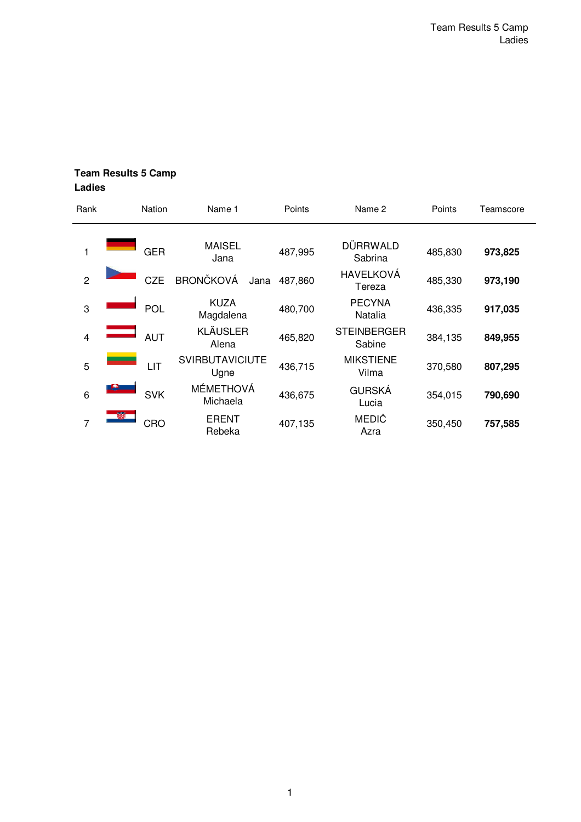| Rank           | <b>Nation</b> | Name 1                         | Points  | Name 2                       | Points  | Teamscore |
|----------------|---------------|--------------------------------|---------|------------------------------|---------|-----------|
| 1              | <b>GER</b>    | <b>MAISEL</b><br>Jana          | 487,995 | DÜRRWALD<br>Sabrina          | 485,830 | 973,825   |
| $\overline{2}$ | <b>CZE</b>    | <b>BRONČKOVÁ</b><br>Jana       | 487,860 | HAVELKOVÁ<br>Tereza          | 485,330 | 973,190   |
| 3              | <b>POL</b>    | <b>KUZA</b><br>Magdalena       | 480,700 | <b>PECYNA</b><br>Natalia     | 436,335 | 917,035   |
| $\overline{4}$ | <b>AUT</b>    | <b>KLÄUSLER</b><br>Alena       | 465,820 | <b>STEINBERGER</b><br>Sabine | 384,135 | 849,955   |
| 5              | LIT           | <b>SVIRBUTAVICIUTE</b><br>Ugne | 436,715 | <b>MIKSTIENE</b><br>Vilma    | 370,580 | 807,295   |
| 6              | <b>SVK</b>    | <b>MÉMETHOVÁ</b><br>Michaela   | 436,675 | <b>GURSKÁ</b><br>Lucia       | 354,015 | 790,690   |
| 7              | CRO           | <b>ERENT</b><br>Rebeka         | 407,135 | MEDIČ<br>Azra                | 350,450 | 757,585   |

# **Team Results 5 Camp Ladies**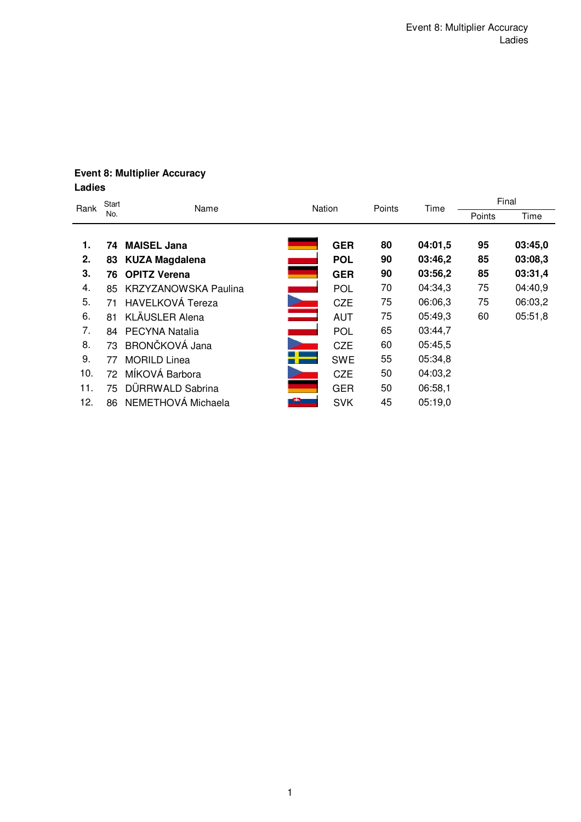# **Event 8: Multiplier Accuracy Ladies**

| Rank | Start | Name                             | Nation     | Points | Time    | Final  |         |  |
|------|-------|----------------------------------|------------|--------|---------|--------|---------|--|
|      | No.   |                                  |            |        |         | Points | Time    |  |
|      |       |                                  |            |        |         |        |         |  |
| 1.   | 74    | <b>MAISEL Jana</b>               | <b>GER</b> | 80     | 04:01,5 | 95     | 03:45,0 |  |
| 2.   | 83    | <b>KUZA Magdalena</b>            | <b>POL</b> | 90     | 03:46,2 | 85     | 03:08,3 |  |
| 3.   | 76    | <b>OPITZ Verena</b>              | <b>GER</b> | 90     | 03:56,2 | 85     | 03:31,4 |  |
| 4.   | 85    | <b>KRZYZANOWSKA Paulina</b>      | POL        | 70     | 04:34,3 | 75     | 04:40,9 |  |
| 5.   | 71    | <b>HAVELKOVÁ Tereza</b>          | <b>CZE</b> | 75     | 06:06,3 | 75     | 06:03,2 |  |
| 6.   | 81    | <b>KLÄUSLER Alena</b><br>المستحق | <b>AUT</b> | 75     | 05:49,3 | 60     | 05:51,8 |  |
| 7.   |       | 84 PECYNA Natalia                | POL        | 65     | 03:44,7 |        |         |  |
| 8.   | 73    | BRONČKOVÁ Jana                   | <b>CZE</b> | 60     | 05:45,5 |        |         |  |
| 9.   | 77    | <b>MORILD Linea</b>              | <b>SWE</b> | 55     | 05:34,8 |        |         |  |
| 10.  | 72    | MÍKOVÁ Barbora                   | <b>CZE</b> | 50     | 04:03,2 |        |         |  |
| 11.  | 75    | DÜRRWALD Sabrina                 | <b>GER</b> | 50     | 06:58,1 |        |         |  |
| 12.  | 86    | NEMETHOVÁ Michaela               | <b>SVK</b> | 45     | 05:19,0 |        |         |  |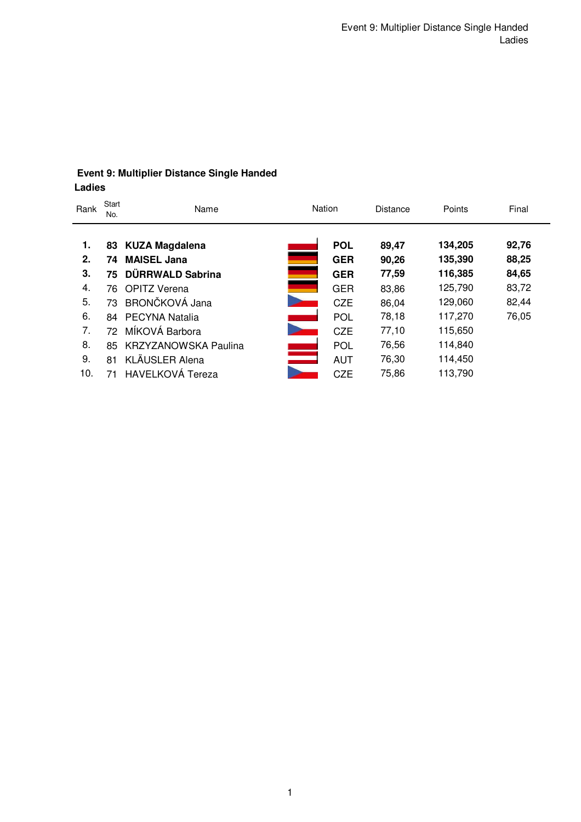# **Event 9: Multiplier Distance Single Handed Ladies**

| Rank | Start<br>No. | Name                        |                          | Nation     | <b>Distance</b> | Points  | Final |
|------|--------------|-----------------------------|--------------------------|------------|-----------------|---------|-------|
|      |              |                             |                          |            |                 |         |       |
| 1.   | 83           | <b>KUZA Magdalena</b>       |                          | <b>POL</b> | 89,47           | 134,205 | 92,76 |
| 2.   | 74           | <b>MAISEL Jana</b>          |                          | <b>GER</b> | 90,26           | 135,390 | 88,25 |
| 3.   | 75           | DÜRRWALD Sabrina            |                          | <b>GER</b> | 77,59           | 116,385 | 84,65 |
| 4.   | 76.          | <b>OPITZ Verena</b>         |                          | <b>GER</b> | 83,86           | 125,790 | 83,72 |
| 5.   | 73           | BRONČKOVÁ Jana              |                          | <b>CZE</b> | 86,04           | 129,060 | 82,44 |
| 6.   | 84           | <b>PECYNA Natalia</b>       |                          | <b>POL</b> | 78,18           | 117,270 | 76,05 |
| 7.   | 72           | MÍKOVÁ Barbora              |                          | <b>CZE</b> | 77,10           | 115,650 |       |
| 8.   | 85           | <b>KRZYZANOWSKA Paulina</b> |                          | <b>POL</b> | 76,56           | 114,840 |       |
| 9.   | 81           | <b>KLÄUSLER Alena</b>       | <b>Contract Contract</b> | <b>AUT</b> | 76,30           | 114,450 |       |
| 10.  | 71           | <b>HAVELKOVÁ Tereza</b>     |                          | <b>CZE</b> | 75,86           | 113,790 |       |